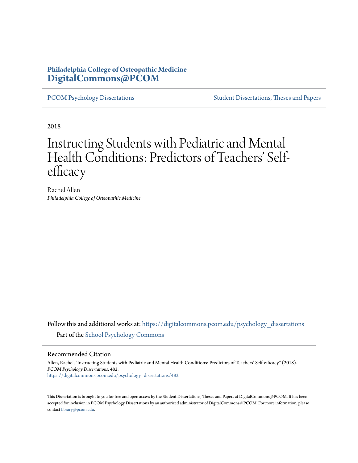## **Philadelphia College of Osteopathic Medicine [DigitalCommons@PCOM](https://digitalcommons.pcom.edu?utm_source=digitalcommons.pcom.edu%2Fpsychology_dissertations%2F482&utm_medium=PDF&utm_campaign=PDFCoverPages)**

[PCOM Psychology Dissertations](https://digitalcommons.pcom.edu/psychology_dissertations?utm_source=digitalcommons.pcom.edu%2Fpsychology_dissertations%2F482&utm_medium=PDF&utm_campaign=PDFCoverPages) [Student Dissertations, Theses and Papers](https://digitalcommons.pcom.edu/etds?utm_source=digitalcommons.pcom.edu%2Fpsychology_dissertations%2F482&utm_medium=PDF&utm_campaign=PDFCoverPages)

2018

# Instructing Students with Pediatric and Mental Health Conditions: Predictors of Teachers' Selfefficacy

Rachel Allen *Philadelphia College of Osteopathic Medicine*

Follow this and additional works at: [https://digitalcommons.pcom.edu/psychology\\_dissertations](https://digitalcommons.pcom.edu/psychology_dissertations?utm_source=digitalcommons.pcom.edu%2Fpsychology_dissertations%2F482&utm_medium=PDF&utm_campaign=PDFCoverPages) Part of the [School Psychology Commons](http://network.bepress.com/hgg/discipline/1072?utm_source=digitalcommons.pcom.edu%2Fpsychology_dissertations%2F482&utm_medium=PDF&utm_campaign=PDFCoverPages)

#### Recommended Citation

Allen, Rachel, "Instructing Students with Pediatric and Mental Health Conditions: Predictors of Teachers' Self-efficacy" (2018). *PCOM Psychology Dissertations*. 482. [https://digitalcommons.pcom.edu/psychology\\_dissertations/482](https://digitalcommons.pcom.edu/psychology_dissertations/482?utm_source=digitalcommons.pcom.edu%2Fpsychology_dissertations%2F482&utm_medium=PDF&utm_campaign=PDFCoverPages)

This Dissertation is brought to you for free and open access by the Student Dissertations, Theses and Papers at DigitalCommons@PCOM. It has been accepted for inclusion in PCOM Psychology Dissertations by an authorized administrator of DigitalCommons@PCOM. For more information, please contact [library@pcom.edu.](mailto:library@pcom.edu)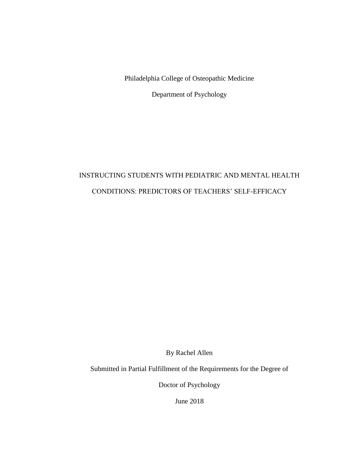Philadelphia College of Osteopathic Medicine

Department of Psychology

# INSTRUCTING STUDENTS WITH PEDIATRIC AND MENTAL HEALTH CONDITIONS: PREDICTORS OF TEACHERS' SELF-EFFICACY

By Rachel Allen

Submitted in Partial Fulfillment of the Requirements for the Degree of

Doctor of Psychology

June 2018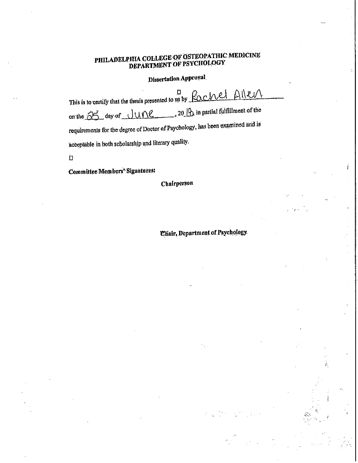## PHILADELPHIA COLLEGE OF OSTEOPATHIC MEDICINE DEPARTMENT OF PSYCHOLOGY

## Dissertation Approval.

| This is to certify that the thesis presented to us by Rochel Allen<br>$20$ $\sqrt{20}$ in partial fulfillment of the<br>on the 85 day of JUNE<br>requirements for the degree of Doctor of Psychology, has been examined and is<br>acceptable in both scholarship and literary quality. |
|----------------------------------------------------------------------------------------------------------------------------------------------------------------------------------------------------------------------------------------------------------------------------------------|
|                                                                                                                                                                                                                                                                                        |

Committee Members' Signatures:

Chairperson

**Chair, Department of Psychology.** 

' .

' ~·-

 $\frac{1}{2} \frac{1}{2}$ 

Ä

 $\bar{a}$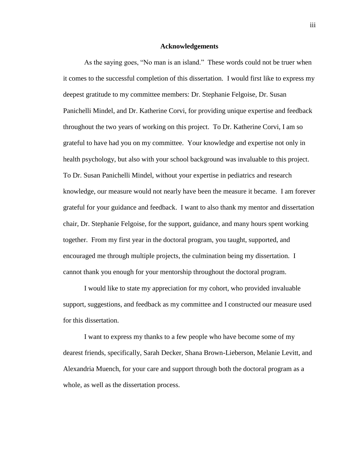#### **Acknowledgements**

As the saying goes, "No man is an island." These words could not be truer when it comes to the successful completion of this dissertation. I would first like to express my deepest gratitude to my committee members: Dr. Stephanie Felgoise, Dr. Susan Panichelli Mindel, and Dr. Katherine Corvi, for providing unique expertise and feedback throughout the two years of working on this project. To Dr. Katherine Corvi, I am so grateful to have had you on my committee. Your knowledge and expertise not only in health psychology, but also with your school background was invaluable to this project. To Dr. Susan Panichelli Mindel, without your expertise in pediatrics and research knowledge, our measure would not nearly have been the measure it became. I am forever grateful for your guidance and feedback. I want to also thank my mentor and dissertation chair, Dr. Stephanie Felgoise, for the support, guidance, and many hours spent working together. From my first year in the doctoral program, you taught, supported, and encouraged me through multiple projects, the culmination being my dissertation. I cannot thank you enough for your mentorship throughout the doctoral program.

I would like to state my appreciation for my cohort, who provided invaluable support, suggestions, and feedback as my committee and I constructed our measure used for this dissertation.

I want to express my thanks to a few people who have become some of my dearest friends, specifically, Sarah Decker, Shana Brown-Lieberson, Melanie Levitt, and Alexandria Muench, for your care and support through both the doctoral program as a whole, as well as the dissertation process.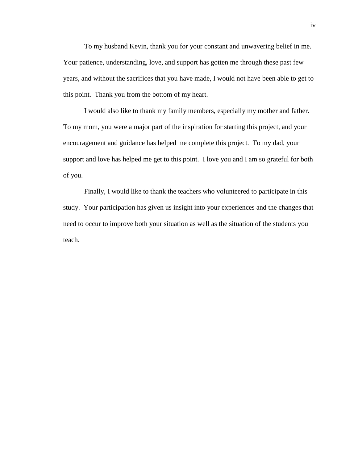To my husband Kevin, thank you for your constant and unwavering belief in me. Your patience, understanding, love, and support has gotten me through these past few years, and without the sacrifices that you have made, I would not have been able to get to this point. Thank you from the bottom of my heart.

I would also like to thank my family members, especially my mother and father. To my mom, you were a major part of the inspiration for starting this project, and your encouragement and guidance has helped me complete this project. To my dad, your support and love has helped me get to this point. I love you and I am so grateful for both of you.

Finally, I would like to thank the teachers who volunteered to participate in this study. Your participation has given us insight into your experiences and the changes that need to occur to improve both your situation as well as the situation of the students you teach.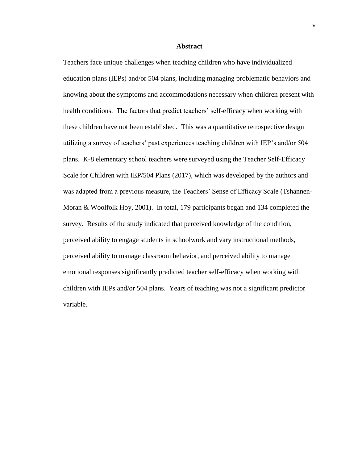#### **Abstract**

Teachers face unique challenges when teaching children who have individualized education plans (IEPs) and/or 504 plans, including managing problematic behaviors and knowing about the symptoms and accommodations necessary when children present with health conditions. The factors that predict teachers' self-efficacy when working with these children have not been established. This was a quantitative retrospective design utilizing a survey of teachers' past experiences teaching children with IEP's and/or 504 plans. K-8 elementary school teachers were surveyed using the Teacher Self-Efficacy Scale for Children with IEP/504 Plans (2017), which was developed by the authors and was adapted from a previous measure, the Teachers' Sense of Efficacy Scale (Tshannen-Moran & Woolfolk Hoy, 2001). In total, 179 participants began and 134 completed the survey. Results of the study indicated that perceived knowledge of the condition, perceived ability to engage students in schoolwork and vary instructional methods, perceived ability to manage classroom behavior, and perceived ability to manage emotional responses significantly predicted teacher self-efficacy when working with children with IEPs and/or 504 plans. Years of teaching was not a significant predictor variable.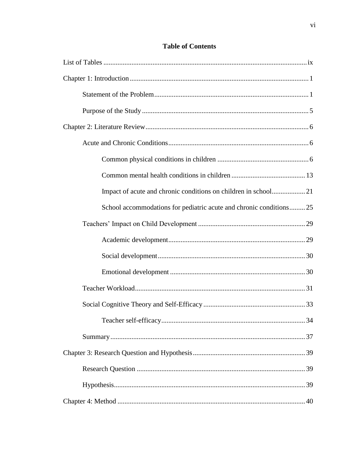| Impact of acute and chronic conditions on children in school21     |
|--------------------------------------------------------------------|
| School accommodations for pediatric acute and chronic conditions25 |
|                                                                    |
|                                                                    |
|                                                                    |
|                                                                    |
|                                                                    |
|                                                                    |
|                                                                    |
|                                                                    |
|                                                                    |
|                                                                    |
|                                                                    |
|                                                                    |

## **Table of Contents**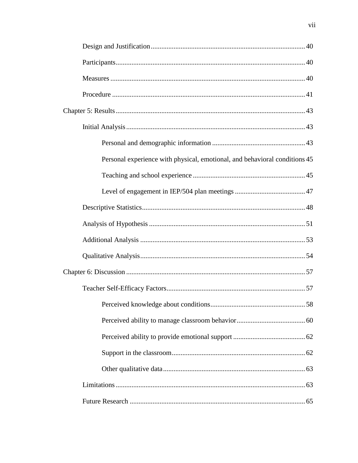| Personal experience with physical, emotional, and behavioral conditions 45 |
|----------------------------------------------------------------------------|
|                                                                            |
|                                                                            |
|                                                                            |
|                                                                            |
|                                                                            |
|                                                                            |
|                                                                            |
|                                                                            |
|                                                                            |
|                                                                            |
|                                                                            |
|                                                                            |
|                                                                            |
|                                                                            |
|                                                                            |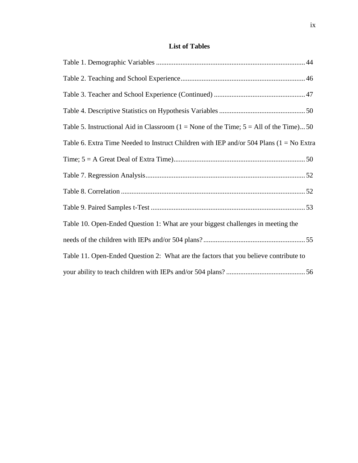## **List of Tables**

| Table 5. Instructional Aid in Classroom ( $1 =$ None of the Time; $5 =$ All of the Time)50 |  |
|--------------------------------------------------------------------------------------------|--|
| Table 6. Extra Time Needed to Instruct Children with IEP and/or 504 Plans $(1 = No Extra)$ |  |
|                                                                                            |  |
|                                                                                            |  |
|                                                                                            |  |
|                                                                                            |  |
| Table 10. Open-Ended Question 1: What are your biggest challenges in meeting the           |  |
|                                                                                            |  |
| Table 11. Open-Ended Question 2: What are the factors that you believe contribute to       |  |
|                                                                                            |  |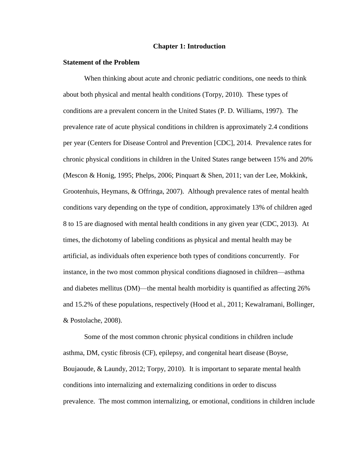## **Chapter 1: Introduction**

## **Statement of the Problem**

When thinking about acute and chronic pediatric conditions, one needs to think about both physical and mental health conditions (Torpy, 2010). These types of conditions are a prevalent concern in the United States (P. D. Williams, 1997). The prevalence rate of acute physical conditions in children is approximately 2.4 conditions per year (Centers for Disease Control and Prevention [CDC], 2014. Prevalence rates for chronic physical conditions in children in the United States range between 15% and 20% (Mescon & Honig, 1995; Phelps, 2006; Pinquart & Shen, 2011; van der Lee, Mokkink, Grootenhuis, Heymans, & Offringa, 2007). Although prevalence rates of mental health conditions vary depending on the type of condition, approximately 13% of children aged 8 to 15 are diagnosed with mental health conditions in any given year (CDC, 2013). At times, the dichotomy of labeling conditions as physical and mental health may be artificial, as individuals often experience both types of conditions concurrently. For instance, in the two most common physical conditions diagnosed in children—asthma and diabetes mellitus (DM)—the mental health morbidity is quantified as affecting 26% and 15.2% of these populations, respectively (Hood et al., 2011; Kewalramani, Bollinger, & Postolache, 2008).

Some of the most common chronic physical conditions in children include asthma, DM, cystic fibrosis (CF), epilepsy, and congenital heart disease (Boyse, Boujaoude, & Laundy, 2012; Torpy, 2010). It is important to separate mental health conditions into internalizing and externalizing conditions in order to discuss prevalence. The most common internalizing, or emotional, conditions in children include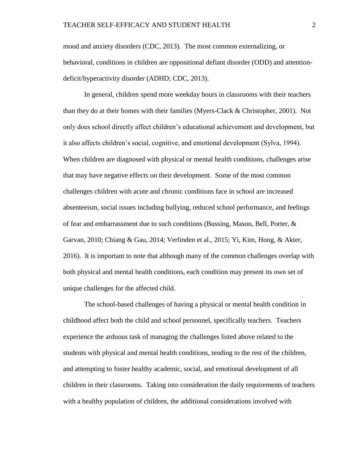mood and anxiety disorders (CDC, 2013). The most common externalizing, or behavioral, conditions in children are oppositional defiant disorder (ODD) and attentiondeficit/hyperactivity disorder (ADHD; CDC, 2013).

In general, children spend more weekday hours in classrooms with their teachers than they do at their homes with their families (Myers-Clack & Christopher, 2001). Not only does school directly affect children's educational achievement and development, but it also affects children's social, cognitive, and emotional development (Sylva, 1994). When children are diagnosed with physical or mental health conditions, challenges arise that may have negative effects on their development. Some of the most common challenges children with acute and chronic conditions face in school are increased absenteeism, social issues including bullying, reduced school performance, and feelings of fear and embarrassment due to such conditions (Bussing, Mason, Bell, Porter, & Garvan, 2010; Chiang & Gau, 2014; Verlinden et al., 2015; Yi, Kim, Hong, & Akter, 2016). It is important to note that although many of the common challenges overlap with both physical and mental health conditions, each condition may present its own set of unique challenges for the affected child.

The school-based challenges of having a physical or mental health condition in childhood affect both the child and school personnel, specifically teachers. Teachers experience the arduous task of managing the challenges listed above related to the students with physical and mental health conditions, tending to the rest of the children, and attempting to foster healthy academic, social, and emotional development of all children in their classrooms. Taking into consideration the daily requirements of teachers with a healthy population of children, the additional considerations involved with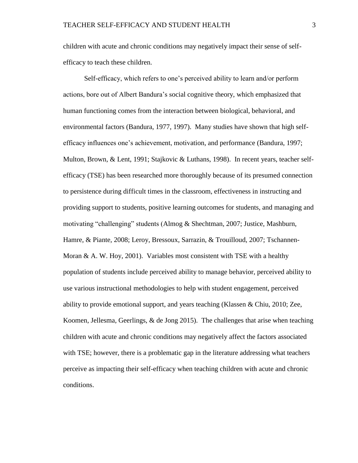children with acute and chronic conditions may negatively impact their sense of selfefficacy to teach these children.

Self-efficacy, which refers to one's perceived ability to learn and/or perform actions, bore out of Albert Bandura's social cognitive theory, which emphasized that human functioning comes from the interaction between biological, behavioral, and environmental factors (Bandura, 1977, 1997). Many studies have shown that high selfefficacy influences one's achievement, motivation, and performance (Bandura, 1997; Multon, Brown, & Lent, 1991; Stajkovic & Luthans, 1998). In recent years, teacher selfefficacy (TSE) has been researched more thoroughly because of its presumed connection to persistence during difficult times in the classroom, effectiveness in instructing and providing support to students, positive learning outcomes for students, and managing and motivating "challenging" students (Almog & Shechtman, 2007; Justice, Mashburn, Hamre, & Piante, 2008; Leroy, Bressoux, Sarrazin, & Trouilloud, 2007; Tschannen-Moran  $\&$  A. W. Hoy, 2001). Variables most consistent with TSE with a healthy population of students include perceived ability to manage behavior, perceived ability to use various instructional methodologies to help with student engagement, perceived ability to provide emotional support, and years teaching (Klassen & Chiu, 2010; Zee, Koomen, Jellesma, Geerlings, & de Jong 2015). The challenges that arise when teaching children with acute and chronic conditions may negatively affect the factors associated with TSE; however, there is a problematic gap in the literature addressing what teachers perceive as impacting their self-efficacy when teaching children with acute and chronic conditions.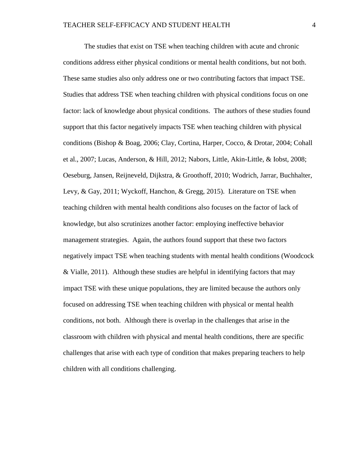The studies that exist on TSE when teaching children with acute and chronic conditions address either physical conditions or mental health conditions, but not both. These same studies also only address one or two contributing factors that impact TSE. Studies that address TSE when teaching children with physical conditions focus on one factor: lack of knowledge about physical conditions. The authors of these studies found support that this factor negatively impacts TSE when teaching children with physical conditions (Bishop & Boag, 2006; Clay, Cortina, Harper, Cocco, & Drotar, 2004; Cohall et al., 2007; Lucas, Anderson, & Hill, 2012; Nabors, Little, Akin-Little, & Iobst, 2008; Oeseburg, Jansen, Reijneveld, Dijkstra, & Groothoff, 2010; Wodrich, Jarrar, Buchhalter, Levy, & Gay, 2011; Wyckoff, Hanchon, & Gregg, 2015). Literature on TSE when teaching children with mental health conditions also focuses on the factor of lack of knowledge, but also scrutinizes another factor: employing ineffective behavior management strategies. Again, the authors found support that these two factors negatively impact TSE when teaching students with mental health conditions (Woodcock & Vialle, 2011). Although these studies are helpful in identifying factors that may impact TSE with these unique populations, they are limited because the authors only focused on addressing TSE when teaching children with physical or mental health conditions, not both. Although there is overlap in the challenges that arise in the classroom with children with physical and mental health conditions, there are specific challenges that arise with each type of condition that makes preparing teachers to help children with all conditions challenging.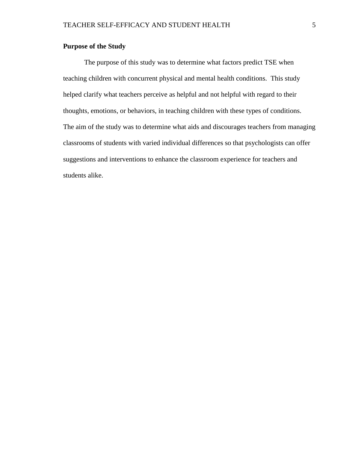## **Purpose of the Study**

The purpose of this study was to determine what factors predict TSE when teaching children with concurrent physical and mental health conditions. This study helped clarify what teachers perceive as helpful and not helpful with regard to their thoughts, emotions, or behaviors, in teaching children with these types of conditions. The aim of the study was to determine what aids and discourages teachers from managing classrooms of students with varied individual differences so that psychologists can offer suggestions and interventions to enhance the classroom experience for teachers and students alike.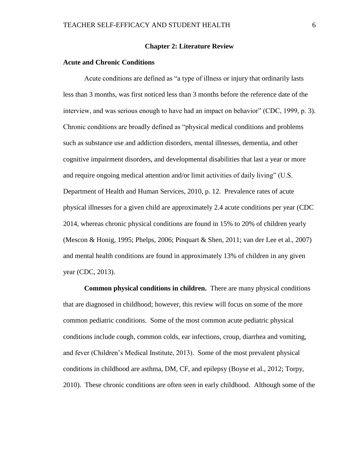## **Chapter 2: Literature Review**

## **Acute and Chronic Conditions**

Acute conditions are defined as "a type of illness or injury that ordinarily lasts less than 3 months, was first noticed less than 3 months before the reference date of the interview, and was serious enough to have had an impact on behavior" (CDC, 1999, p. 3). Chronic conditions are broadly defined as "physical medical conditions and problems such as substance use and addiction disorders, mental illnesses, dementia, and other cognitive impairment disorders, and developmental disabilities that last a year or more and require ongoing medical attention and/or limit activities of daily living" (U.S. Department of Health and Human Services, 2010, p. 12. Prevalence rates of acute physical illnesses for a given child are approximately 2.4 acute conditions per year (CDC 2014, whereas chronic physical conditions are found in 15% to 20% of children yearly (Mescon & Honig, 1995; Phelps, 2006; Pinquart & Shen, 2011; van der Lee et al., 2007) and mental health conditions are found in approximately 13% of children in any given year (CDC, 2013).

**Common physical conditions in children.** There are many physical conditions that are diagnosed in childhood; however, this review will focus on some of the more common pediatric conditions. Some of the most common acute pediatric physical conditions include cough, common colds, ear infections, croup, diarrhea and vomiting, and fever (Children's Medical Institute, 2013). Some of the most prevalent physical conditions in childhood are asthma, DM, CF, and epilepsy (Boyse et al., 2012; Torpy, 2010). These chronic conditions are often seen in early childhood. Although some of the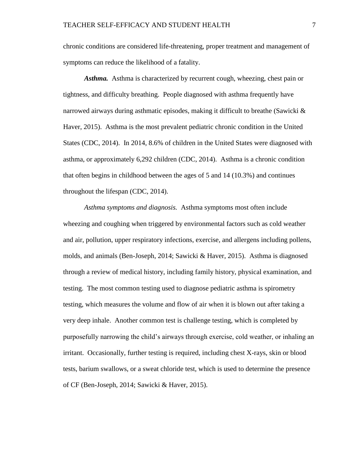chronic conditions are considered life-threatening, proper treatment and management of symptoms can reduce the likelihood of a fatality.

*Asthma.* Asthma is characterized by recurrent cough, wheezing, chest pain or tightness, and difficulty breathing. People diagnosed with asthma frequently have narrowed airways during asthmatic episodes, making it difficult to breathe (Sawicki & Haver, 2015). Asthma is the most prevalent pediatric chronic condition in the United States (CDC, 2014). In 2014, 8.6% of children in the United States were diagnosed with asthma, or approximately 6,292 children (CDC, 2014). Asthma is a chronic condition that often begins in childhood between the ages of 5 and 14 (10.3%) and continues throughout the lifespan (CDC, 2014).

*Asthma symptoms and diagnosis.* Asthma symptoms most often include wheezing and coughing when triggered by environmental factors such as cold weather and air, pollution, upper respiratory infections, exercise, and allergens including pollens, molds, and animals (Ben-Joseph, 2014; Sawicki & Haver, 2015). Asthma is diagnosed through a review of medical history, including family history, physical examination, and testing. The most common testing used to diagnose pediatric asthma is spirometry testing, which measures the volume and flow of air when it is blown out after taking a very deep inhale. Another common test is challenge testing, which is completed by purposefully narrowing the child's airways through exercise, cold weather, or inhaling an irritant. Occasionally, further testing is required, including chest X-rays, skin or blood tests, barium swallows, or a sweat chloride test, which is used to determine the presence of CF (Ben-Joseph, 2014; Sawicki & Haver, 2015).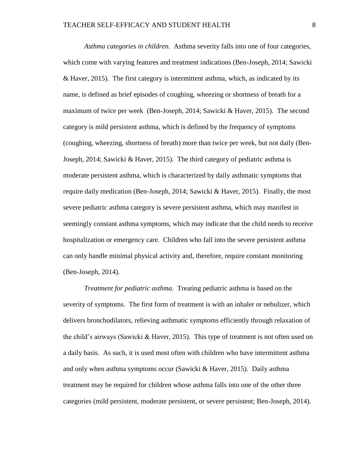*Asthma categories in children.* Asthma severity falls into one of four categories, which come with varying features and treatment indications (Ben-Joseph, 2014; Sawicki & Haver, 2015). The first category is intermittent asthma, which, as indicated by its name, is defined as brief episodes of coughing, wheezing or shortness of breath for a maximum of twice per week (Ben-Joseph, 2014; Sawicki & Haver, 2015). The second category is mild persistent asthma, which is defined by the frequency of symptoms (coughing, wheezing, shortness of breath) more than twice per week, but not daily (Ben-Joseph, 2014; Sawicki & Haver, 2015). The third category of pediatric asthma is moderate persistent asthma, which is characterized by daily asthmatic symptoms that require daily medication (Ben-Joseph, 2014; Sawicki & Haver, 2015). Finally, the most severe pediatric asthma category is severe persistent asthma, which may manifest in seemingly constant asthma symptoms, which may indicate that the child needs to receive hospitalization or emergency care. Children who fall into the severe persistent asthma can only handle minimal physical activity and, therefore, require constant monitoring (Ben-Joseph, 2014).

*Treatment for pediatric asthma.* Treating pediatric asthma is based on the severity of symptoms. The first form of treatment is with an inhaler or nebulizer, which delivers bronchodilators, relieving asthmatic symptoms efficiently through relaxation of the child's airways (Sawicki & Haver, 2015). This type of treatment is not often used on a daily basis. As such, it is used most often with children who have intermittent asthma and only when asthma symptoms occur (Sawicki & Haver, 2015). Daily asthma treatment may be required for children whose asthma falls into one of the other three categories (mild persistent, moderate persistent, or severe persistent; Ben-Joseph, 2014).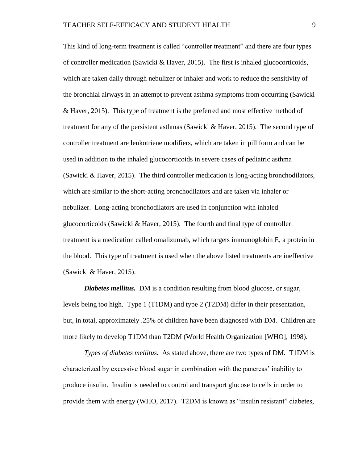This kind of long-term treatment is called "controller treatment" and there are four types of controller medication (Sawicki & Haver, 2015). The first is inhaled glucocorticoids, which are taken daily through nebulizer or inhaler and work to reduce the sensitivity of the bronchial airways in an attempt to prevent asthma symptoms from occurring (Sawicki & Haver, 2015). This type of treatment is the preferred and most effective method of treatment for any of the persistent asthmas (Sawicki & Haver, 2015). The second type of controller treatment are leukotriene modifiers, which are taken in pill form and can be used in addition to the inhaled glucocorticoids in severe cases of pediatric asthma (Sawicki & Haver, 2015). The third controller medication is long-acting bronchodilators, which are similar to the short-acting bronchodilators and are taken via inhaler or nebulizer. Long-acting bronchodilators are used in conjunction with inhaled glucocorticoids (Sawicki & Haver, 2015). The fourth and final type of controller treatment is a medication called omalizumab, which targets immunoglobin E, a protein in the blood. This type of treatment is used when the above listed treatments are ineffective (Sawicki & Haver, 2015).

*Diabetes mellitus.* DM is a condition resulting from blood glucose, or sugar, levels being too high. Type 1 (T1DM) and type 2 (T2DM) differ in their presentation, but, in total, approximately .25% of children have been diagnosed with DM. Children are more likely to develop T1DM than T2DM (World Health Organization [WHO], 1998).

*Types of diabetes mellitus.* As stated above, there are two types of DM. T1DM is characterized by excessive blood sugar in combination with the pancreas' inability to produce insulin. Insulin is needed to control and transport glucose to cells in order to provide them with energy (WHO, 2017). T2DM is known as "insulin resistant" diabetes,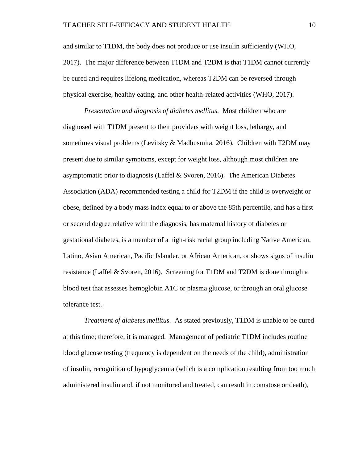and similar to T1DM, the body does not produce or use insulin sufficiently (WHO, 2017). The major difference between T1DM and T2DM is that T1DM cannot currently be cured and requires lifelong medication, whereas T2DM can be reversed through physical exercise, healthy eating, and other health-related activities (WHO, 2017).

*Presentation and diagnosis of diabetes mellitus.* Most children who are diagnosed with T1DM present to their providers with weight loss, lethargy, and sometimes visual problems (Levitsky & Madhusmita, 2016). Children with T2DM may present due to similar symptoms, except for weight loss, although most children are asymptomatic prior to diagnosis (Laffel & Svoren, 2016). The American Diabetes Association (ADA) recommended testing a child for T2DM if the child is overweight or obese, defined by a body mass index equal to or above the 85th percentile, and has a first or second degree relative with the diagnosis, has maternal history of diabetes or gestational diabetes, is a member of a high-risk racial group including Native American, Latino, Asian American, Pacific Islander, or African American, or shows signs of insulin resistance (Laffel & Svoren, 2016). Screening for T1DM and T2DM is done through a blood test that assesses hemoglobin A1C or plasma glucose, or through an oral glucose tolerance test.

*Treatment of diabetes mellitus.* As stated previously, T1DM is unable to be cured at this time; therefore, it is managed. Management of pediatric T1DM includes routine blood glucose testing (frequency is dependent on the needs of the child), administration of insulin, recognition of hypoglycemia (which is a complication resulting from too much administered insulin and, if not monitored and treated, can result in comatose or death),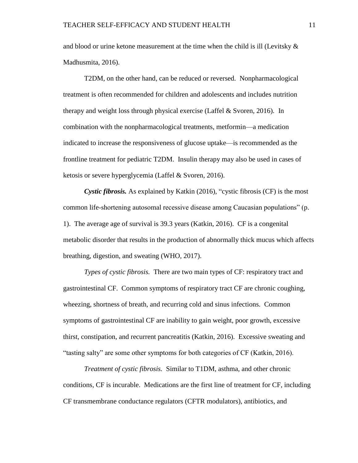and blood or urine ketone measurement at the time when the child is ill (Levitsky  $\&$ Madhusmita, 2016).

T2DM, on the other hand, can be reduced or reversed. Nonpharmacological treatment is often recommended for children and adolescents and includes nutrition therapy and weight loss through physical exercise (Laffel & Svoren, 2016). In combination with the nonpharmacological treatments, metformin—a medication indicated to increase the responsiveness of glucose uptake—is recommended as the frontline treatment for pediatric T2DM. Insulin therapy may also be used in cases of ketosis or severe hyperglycemia (Laffel & Svoren, 2016).

*Cystic fibrosis.* As explained by Katkin (2016), "cystic fibrosis (CF) is the most common life-shortening autosomal recessive disease among Caucasian populations" (p. 1). The average age of survival is 39.3 years (Katkin, 2016). CF is a congenital metabolic disorder that results in the production of abnormally thick mucus which affects breathing, digestion, and sweating (WHO, 2017).

*Types of cystic fibrosis.* There are two main types of CF: respiratory tract and gastrointestinal CF. Common symptoms of respiratory tract CF are chronic coughing, wheezing, shortness of breath, and recurring cold and sinus infections. Common symptoms of gastrointestinal CF are inability to gain weight, poor growth, excessive thirst, constipation, and recurrent pancreatitis (Katkin, 2016). Excessive sweating and "tasting salty" are some other symptoms for both categories of CF (Katkin, 2016).

*Treatment of cystic fibrosis.* Similar to T1DM, asthma, and other chronic conditions, CF is incurable. Medications are the first line of treatment for CF, including CF transmembrane conductance regulators (CFTR modulators), antibiotics, and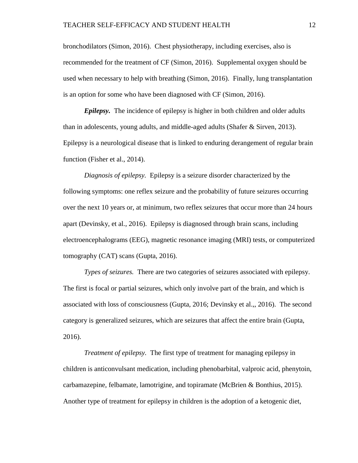bronchodilators (Simon, 2016). Chest physiotherapy, including exercises, also is recommended for the treatment of CF (Simon, 2016). Supplemental oxygen should be used when necessary to help with breathing (Simon, 2016). Finally, lung transplantation is an option for some who have been diagnosed with CF (Simon, 2016).

*Epilepsy.* The incidence of epilepsy is higher in both children and older adults than in adolescents, young adults, and middle-aged adults (Shafer & Sirven, 2013). Epilepsy is a neurological disease that is linked to enduring derangement of regular brain function (Fisher et al., 2014).

*Diagnosis of epilepsy.* Epilepsy is a seizure disorder characterized by the following symptoms: one reflex seizure and the probability of future seizures occurring over the next 10 years or, at minimum, two reflex seizures that occur more than 24 hours apart (Devinsky, et al., 2016). Epilepsy is diagnosed through brain scans, including electroencephalograms (EEG), magnetic resonance imaging (MRI) tests, or computerized tomography (CAT) scans (Gupta, 2016).

*Types of seizures.* There are two categories of seizures associated with epilepsy. The first is focal or partial seizures, which only involve part of the brain, and which is associated with loss of consciousness (Gupta, 2016; Devinsky et al.,, 2016). The second category is generalized seizures, which are seizures that affect the entire brain (Gupta, 2016).

*Treatment of epilepsy.* The first type of treatment for managing epilepsy in children is anticonvulsant medication, including phenobarbital, valproic acid, phenytoin, carbamazepine, felbamate, lamotrigine, and topiramate (McBrien & Bonthius, 2015). Another type of treatment for epilepsy in children is the adoption of a ketogenic diet,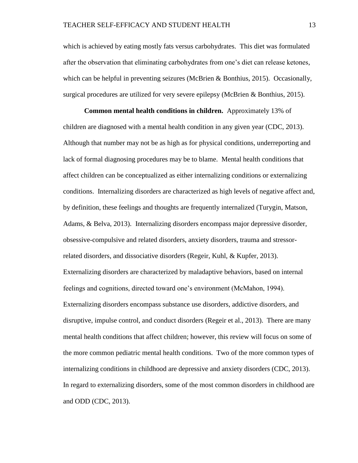which is achieved by eating mostly fats versus carbohydrates. This diet was formulated after the observation that eliminating carbohydrates from one's diet can release ketones, which can be helpful in preventing seizures (McBrien & Bonthius, 2015). Occasionally, surgical procedures are utilized for very severe epilepsy (McBrien & Bonthius, 2015).

**Common mental health conditions in children.** Approximately 13% of children are diagnosed with a mental health condition in any given year (CDC, 2013). Although that number may not be as high as for physical conditions, underreporting and lack of formal diagnosing procedures may be to blame. Mental health conditions that affect children can be conceptualized as either internalizing conditions or externalizing conditions. Internalizing disorders are characterized as high levels of negative affect and, by definition, these feelings and thoughts are frequently internalized (Turygin, Matson, Adams, & Belva, 2013). Internalizing disorders encompass major depressive disorder, obsessive-compulsive and related disorders, anxiety disorders, trauma and stressorrelated disorders, and dissociative disorders (Regeir, Kuhl, & Kupfer, 2013). Externalizing disorders are characterized by maladaptive behaviors, based on internal feelings and cognitions, directed toward one's environment (McMahon, 1994). Externalizing disorders encompass substance use disorders, addictive disorders, and disruptive, impulse control, and conduct disorders (Regeir et al., 2013). There are many mental health conditions that affect children; however, this review will focus on some of the more common pediatric mental health conditions. Two of the more common types of internalizing conditions in childhood are depressive and anxiety disorders (CDC, 2013). In regard to externalizing disorders, some of the most common disorders in childhood are and ODD (CDC, 2013).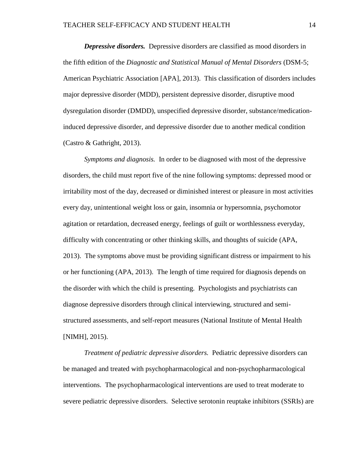*Depressive disorders.* Depressive disorders are classified as mood disorders in the fifth edition of the *Diagnostic and Statistical Manual of Mental Disorders* (DSM-5; American Psychiatric Association [APA], 2013). This classification of disorders includes major depressive disorder (MDD), persistent depressive disorder, disruptive mood dysregulation disorder (DMDD), unspecified depressive disorder, substance/medicationinduced depressive disorder, and depressive disorder due to another medical condition (Castro & Gathright, 2013).

*Symptoms and diagnosis.* In order to be diagnosed with most of the depressive disorders, the child must report five of the nine following symptoms: depressed mood or irritability most of the day, decreased or diminished interest or pleasure in most activities every day, unintentional weight loss or gain, insomnia or hypersomnia, psychomotor agitation or retardation, decreased energy, feelings of guilt or worthlessness everyday, difficulty with concentrating or other thinking skills, and thoughts of suicide (APA, 2013). The symptoms above must be providing significant distress or impairment to his or her functioning (APA, 2013). The length of time required for diagnosis depends on the disorder with which the child is presenting. Psychologists and psychiatrists can diagnose depressive disorders through clinical interviewing, structured and semistructured assessments, and self-report measures (National Institute of Mental Health [NIMH], 2015).

*Treatment of pediatric depressive disorders.* Pediatric depressive disorders can be managed and treated with psychopharmacological and non-psychopharmacological interventions. The psychopharmacological interventions are used to treat moderate to severe pediatric depressive disorders. Selective serotonin reuptake inhibitors (SSRIs) are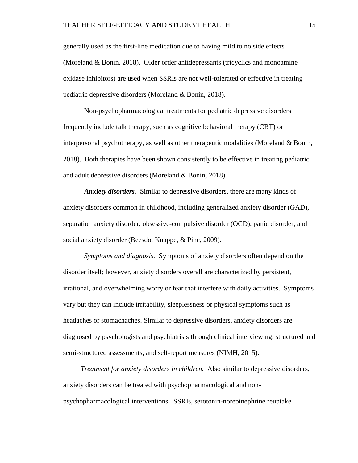generally used as the first-line medication due to having mild to no side effects (Moreland & Bonin, 2018). Older order antidepressants (tricyclics and monoamine oxidase inhibitors) are used when SSRIs are not well-tolerated or effective in treating pediatric depressive disorders (Moreland & Bonin, 2018).

Non-psychopharmacological treatments for pediatric depressive disorders frequently include talk therapy, such as cognitive behavioral therapy (CBT) or interpersonal psychotherapy, as well as other therapeutic modalities (Moreland & Bonin, 2018). Both therapies have been shown consistently to be effective in treating pediatric and adult depressive disorders (Moreland & Bonin, 2018).

*Anxiety disorders.* Similar to depressive disorders, there are many kinds of anxiety disorders common in childhood, including generalized anxiety disorder (GAD), separation anxiety disorder, obsessive-compulsive disorder (OCD), panic disorder, and social anxiety disorder (Beesdo, Knappe, & Pine, 2009).

*Symptoms and diagnosis.* Symptoms of anxiety disorders often depend on the disorder itself; however, anxiety disorders overall are characterized by persistent, irrational, and overwhelming worry or fear that interfere with daily activities. Symptoms vary but they can include irritability, sleeplessness or physical symptoms such as headaches or stomachaches. Similar to depressive disorders, anxiety disorders are diagnosed by psychologists and psychiatrists through clinical interviewing, structured and semi-structured assessments, and self-report measures (NIMH, 2015).

 *Treatment for anxiety disorders in children.* Also similar to depressive disorders, anxiety disorders can be treated with psychopharmacological and nonpsychopharmacological interventions. SSRIs, serotonin-norepinephrine reuptake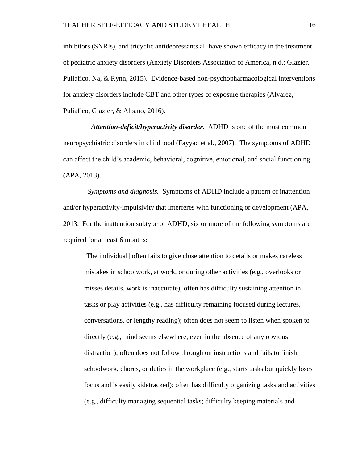inhibitors (SNRIs), and tricyclic antidepressants all have shown efficacy in the treatment of pediatric anxiety disorders (Anxiety Disorders Association of America, n.d.; Glazier, Puliafico, Na, & Rynn, 2015). Evidence-based non-psychopharmacological interventions for anxiety disorders include CBT and other types of exposure therapies (Alvarez, Puliafico, Glazier, & Albano, 2016).

 *Attention-deficit/hyperactivity disorder.* ADHD is one of the most common neuropsychiatric disorders in childhood (Fayyad et al., 2007). The symptoms of ADHD can affect the child's academic, behavioral, cognitive, emotional, and social functioning (APA, 2013).

 *Symptoms and diagnosis.* Symptoms of ADHD include a pattern of inattention and/or hyperactivity-impulsivity that interferes with functioning or development (APA, 2013. For the inattention subtype of ADHD, six or more of the following symptoms are required for at least 6 months:

[The individual] often fails to give close attention to details or makes careless mistakes in schoolwork, at work, or during other activities (e.g., overlooks or misses details, work is inaccurate); often has difficulty sustaining attention in tasks or play activities (e.g., has difficulty remaining focused during lectures, conversations, or lengthy reading); often does not seem to listen when spoken to directly (e.g., mind seems elsewhere, even in the absence of any obvious distraction); often does not follow through on instructions and fails to finish schoolwork, chores, or duties in the workplace (e.g., starts tasks but quickly loses focus and is easily sidetracked); often has difficulty organizing tasks and activities (e.g., difficulty managing sequential tasks; difficulty keeping materials and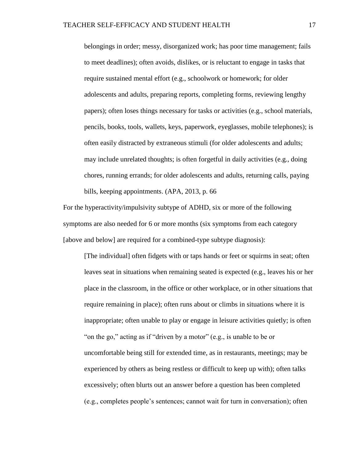belongings in order; messy, disorganized work; has poor time management; fails to meet deadlines); often avoids, dislikes, or is reluctant to engage in tasks that require sustained mental effort (e.g., schoolwork or homework; for older adolescents and adults, preparing reports, completing forms, reviewing lengthy papers); often loses things necessary for tasks or activities (e.g., school materials, pencils, books, tools, wallets, keys, paperwork, eyeglasses, mobile telephones); is often easily distracted by extraneous stimuli (for older adolescents and adults; may include unrelated thoughts; is often forgetful in daily activities (e.g., doing chores, running errands; for older adolescents and adults, returning calls, paying bills, keeping appointments. (APA, 2013, p. 66

For the hyperactivity/impulsivity subtype of ADHD, six or more of the following symptoms are also needed for 6 or more months (six symptoms from each category [above and below] are required for a combined-type subtype diagnosis):

[The individual] often fidgets with or taps hands or feet or squirms in seat; often leaves seat in situations when remaining seated is expected (e.g., leaves his or her place in the classroom, in the office or other workplace, or in other situations that require remaining in place); often runs about or climbs in situations where it is inappropriate; often unable to play or engage in leisure activities quietly; is often "on the go," acting as if "driven by a motor" (e.g., is unable to be or uncomfortable being still for extended time, as in restaurants, meetings; may be experienced by others as being restless or difficult to keep up with); often talks excessively; often blurts out an answer before a question has been completed (e.g., completes people's sentences; cannot wait for turn in conversation); often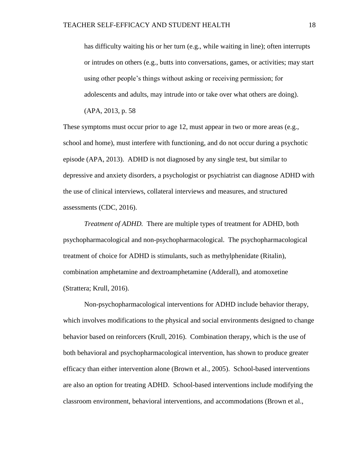has difficulty waiting his or her turn (e.g., while waiting in line); often interrupts or intrudes on others (e.g., butts into conversations, games, or activities; may start using other people's things without asking or receiving permission; for adolescents and adults, may intrude into or take over what others are doing).

(APA, 2013, p. 58

These symptoms must occur prior to age 12, must appear in two or more areas (e.g., school and home), must interfere with functioning, and do not occur during a psychotic episode (APA, 2013). ADHD is not diagnosed by any single test, but similar to depressive and anxiety disorders, a psychologist or psychiatrist can diagnose ADHD with the use of clinical interviews, collateral interviews and measures, and structured assessments (CDC, 2016).

*Treatment of ADHD.* There are multiple types of treatment for ADHD, both psychopharmacological and non-psychopharmacological. The psychopharmacological treatment of choice for ADHD is stimulants, such as methylphenidate (Ritalin), combination amphetamine and dextroamphetamine (Adderall), and atomoxetine (Strattera; Krull, 2016).

Non-psychopharmacological interventions for ADHD include behavior therapy, which involves modifications to the physical and social environments designed to change behavior based on reinforcers (Krull, 2016). Combination therapy, which is the use of both behavioral and psychopharmacological intervention, has shown to produce greater efficacy than either intervention alone (Brown et al., 2005). School-based interventions are also an option for treating ADHD. School-based interventions include modifying the classroom environment, behavioral interventions, and accommodations (Brown et al.,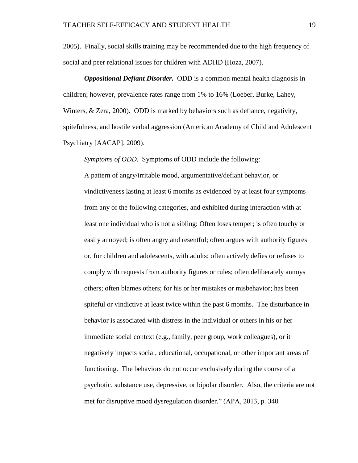2005). Finally, social skills training may be recommended due to the high frequency of social and peer relational issues for children with ADHD (Hoza, 2007).

*Oppositional Defiant Disorder.* ODD is a common mental health diagnosis in children; however, prevalence rates range from 1% to 16% (Loeber, Burke, Lahey, Winters, & Zera, 2000). ODD is marked by behaviors such as defiance, negativity, spitefulness, and hostile verbal aggression (American Academy of Child and Adolescent Psychiatry [AACAP], 2009).

*Symptoms of ODD.* Symptoms of ODD include the following:

A pattern of angry/irritable mood, argumentative/defiant behavior, or vindictiveness lasting at least 6 months as evidenced by at least four symptoms from any of the following categories, and exhibited during interaction with at least one individual who is not a sibling: Often loses temper; is often touchy or easily annoyed; is often angry and resentful; often argues with authority figures or, for children and adolescents, with adults; often actively defies or refuses to comply with requests from authority figures or rules; often deliberately annoys others; often blames others; for his or her mistakes or misbehavior; has been spiteful or vindictive at least twice within the past 6 months. The disturbance in behavior is associated with distress in the individual or others in his or her immediate social context (e.g., family, peer group, work colleagues), or it negatively impacts social, educational, occupational, or other important areas of functioning. The behaviors do not occur exclusively during the course of a psychotic, substance use, depressive, or bipolar disorder. Also, the criteria are not met for disruptive mood dysregulation disorder." (APA, 2013, p. 340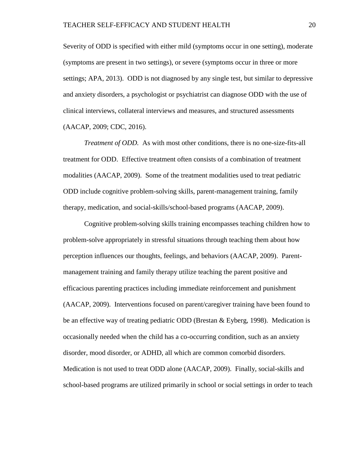Severity of ODD is specified with either mild (symptoms occur in one setting), moderate (symptoms are present in two settings), or severe (symptoms occur in three or more settings; APA, 2013). ODD is not diagnosed by any single test, but similar to depressive and anxiety disorders, a psychologist or psychiatrist can diagnose ODD with the use of clinical interviews, collateral interviews and measures, and structured assessments (AACAP, 2009; CDC, 2016).

*Treatment of ODD.* As with most other conditions, there is no one-size-fits-all treatment for ODD. Effective treatment often consists of a combination of treatment modalities (AACAP, 2009). Some of the treatment modalities used to treat pediatric ODD include cognitive problem-solving skills, parent-management training, family therapy, medication, and social-skills/school-based programs (AACAP, 2009).

Cognitive problem-solving skills training encompasses teaching children how to problem-solve appropriately in stressful situations through teaching them about how perception influences our thoughts, feelings, and behaviors (AACAP, 2009). Parentmanagement training and family therapy utilize teaching the parent positive and efficacious parenting practices including immediate reinforcement and punishment (AACAP, 2009). Interventions focused on parent/caregiver training have been found to be an effective way of treating pediatric ODD (Brestan & Eyberg, 1998). Medication is occasionally needed when the child has a co-occurring condition, such as an anxiety disorder, mood disorder, or ADHD, all which are common comorbid disorders. Medication is not used to treat ODD alone (AACAP, 2009). Finally, social-skills and school-based programs are utilized primarily in school or social settings in order to teach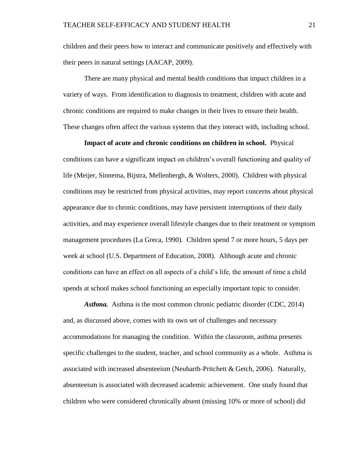children and their peers how to interact and communicate positively and effectively with their peers in natural settings (AACAP, 2009).

There are many physical and mental health conditions that impact children in a variety of ways. From identification to diagnosis to treatment, children with acute and chronic conditions are required to make changes in their lives to ensure their health. These changes often affect the various systems that they interact with, including school.

**Impact of acute and chronic conditions on children in school.** Physical conditions can have a significant impact on children's overall functioning and quality of life (Meijer, Sinnema, Bijstra, Mellenbergh, & Wolters, 2000). Children with physical conditions may be restricted from physical activities, may report concerns about physical appearance due to chronic conditions, may have persistent interruptions of their daily activities, and may experience overall lifestyle changes due to their treatment or symptom management procedures (La Greca, 1990). Children spend 7 or more hours, 5 days per week at school (U.S. Department of Education, 2008). Although acute and chronic conditions can have an effect on all aspects of a child's life, the amount of time a child spends at school makes school functioning an especially important topic to consider.

*Asthma.* Asthma is the most common chronic pediatric disorder (CDC, 2014) and, as discussed above, comes with its own set of challenges and necessary accommodations for managing the condition. Within the classroom, asthma presents specific challenges to the student, teacher, and school community as a whole. Asthma is associated with increased absenteeism (Neuharth-Pritchett & Getch, 2006). Naturally, absenteeism is associated with decreased academic achievement. One study found that children who were considered chronically absent (missing 10% or more of school) did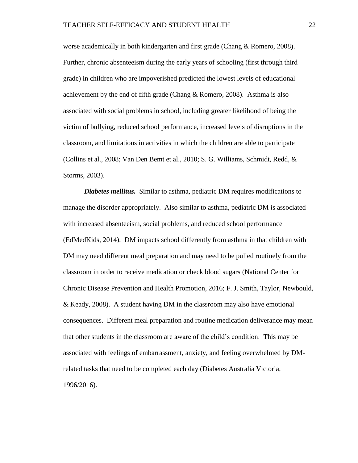worse academically in both kindergarten and first grade (Chang & Romero, 2008). Further, chronic absenteeism during the early years of schooling (first through third grade) in children who are impoverished predicted the lowest levels of educational achievement by the end of fifth grade (Chang & Romero, 2008). Asthma is also associated with social problems in school, including greater likelihood of being the victim of bullying, reduced school performance, increased levels of disruptions in the classroom, and limitations in activities in which the children are able to participate (Collins et al., 2008; Van Den Bemt et al., 2010; S. G. Williams, Schmidt, Redd, & Storms, 2003).

*Diabetes mellitus.* Similar to asthma, pediatric DM requires modifications to manage the disorder appropriately. Also similar to asthma, pediatric DM is associated with increased absenteeism, social problems, and reduced school performance (EdMedKids, 2014). DM impacts school differently from asthma in that children with DM may need different meal preparation and may need to be pulled routinely from the classroom in order to receive medication or check blood sugars (National Center for Chronic Disease Prevention and Health Promotion, 2016; F. J. Smith, Taylor, Newbould, & Keady, 2008). A student having DM in the classroom may also have emotional consequences. Different meal preparation and routine medication deliverance may mean that other students in the classroom are aware of the child's condition. This may be associated with feelings of embarrassment, anxiety, and feeling overwhelmed by DMrelated tasks that need to be completed each day (Diabetes Australia Victoria, 1996/2016).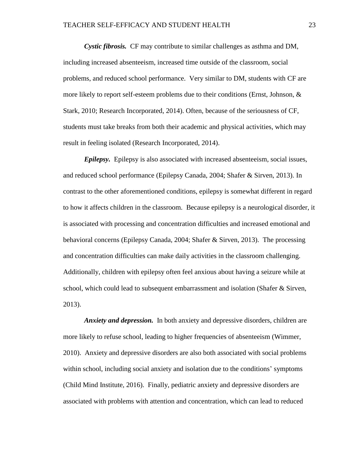*Cystic fibrosis.* CF may contribute to similar challenges as asthma and DM, including increased absenteeism, increased time outside of the classroom, social problems, and reduced school performance. Very similar to DM, students with CF are more likely to report self-esteem problems due to their conditions (Ernst, Johnson, & Stark, 2010; Research Incorporated, 2014). Often, because of the seriousness of CF, students must take breaks from both their academic and physical activities, which may result in feeling isolated (Research Incorporated, 2014).

*Epilepsy.* Epilepsy is also associated with increased absenteeism, social issues, and reduced school performance (Epilepsy Canada, 2004; Shafer & Sirven, 2013). In contrast to the other aforementioned conditions, epilepsy is somewhat different in regard to how it affects children in the classroom. Because epilepsy is a neurological disorder, it is associated with processing and concentration difficulties and increased emotional and behavioral concerns (Epilepsy Canada, 2004; Shafer & Sirven, 2013). The processing and concentration difficulties can make daily activities in the classroom challenging. Additionally, children with epilepsy often feel anxious about having a seizure while at school, which could lead to subsequent embarrassment and isolation (Shafer & Sirven, 2013).

*Anxiety and depression.* In both anxiety and depressive disorders, children are more likely to refuse school, leading to higher frequencies of absenteeism (Wimmer, 2010). Anxiety and depressive disorders are also both associated with social problems within school, including social anxiety and isolation due to the conditions' symptoms (Child Mind Institute, 2016). Finally, pediatric anxiety and depressive disorders are associated with problems with attention and concentration, which can lead to reduced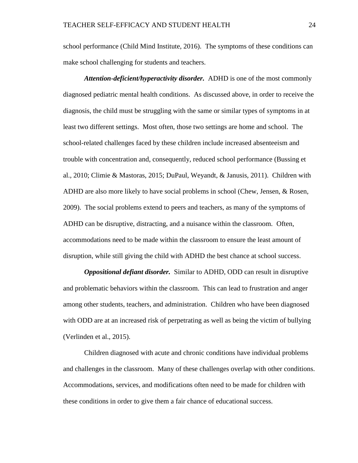school performance (Child Mind Institute, 2016). The symptoms of these conditions can make school challenging for students and teachers.

*Attention-deficient/hyperactivity disorder.* ADHD is one of the most commonly diagnosed pediatric mental health conditions. As discussed above, in order to receive the diagnosis, the child must be struggling with the same or similar types of symptoms in at least two different settings. Most often, those two settings are home and school. The school-related challenges faced by these children include increased absenteeism and trouble with concentration and, consequently, reduced school performance (Bussing et al., 2010; Climie & Mastoras, 2015; DuPaul, Weyandt, & Janusis, 2011). Children with ADHD are also more likely to have social problems in school (Chew, Jensen, & Rosen, 2009). The social problems extend to peers and teachers, as many of the symptoms of ADHD can be disruptive, distracting, and a nuisance within the classroom. Often, accommodations need to be made within the classroom to ensure the least amount of disruption, while still giving the child with ADHD the best chance at school success.

*Oppositional defiant disorder.* Similar to ADHD, ODD can result in disruptive and problematic behaviors within the classroom. This can lead to frustration and anger among other students, teachers, and administration. Children who have been diagnosed with ODD are at an increased risk of perpetrating as well as being the victim of bullying (Verlinden et al., 2015).

Children diagnosed with acute and chronic conditions have individual problems and challenges in the classroom. Many of these challenges overlap with other conditions. Accommodations, services, and modifications often need to be made for children with these conditions in order to give them a fair chance of educational success.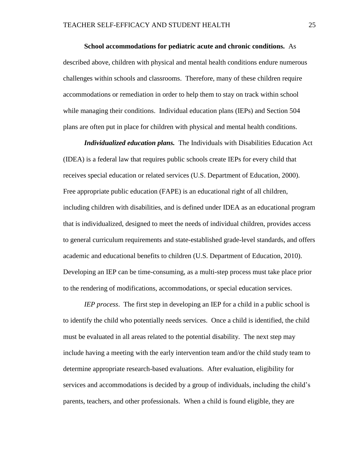**School accommodations for pediatric acute and chronic conditions.** As described above, children with physical and mental health conditions endure numerous challenges within schools and classrooms. Therefore, many of these children require accommodations or remediation in order to help them to stay on track within school while managing their conditions. Individual education plans (IEPs) and Section 504 plans are often put in place for children with physical and mental health conditions.

*Individualized education plans.* The Individuals with Disabilities Education Act (IDEA) is a federal law that requires public schools create IEPs for every child that receives special education or related services (U.S. Department of Education, 2000). Free appropriate public education (FAPE) is an educational right of all children, including children with disabilities, and is defined under IDEA as an educational program that is individualized, designed to meet the needs of individual children, provides access to general curriculum requirements and state-established grade-level standards, and offers academic and educational benefits to children (U.S. Department of Education, 2010). Developing an IEP can be time-consuming, as a multi-step process must take place prior to the rendering of modifications, accommodations, or special education services.

*IEP process*. The first step in developing an IEP for a child in a public school is to identify the child who potentially needs services. Once a child is identified, the child must be evaluated in all areas related to the potential disability. The next step may include having a meeting with the early intervention team and/or the child study team to determine appropriate research-based evaluations. After evaluation, eligibility for services and accommodations is decided by a group of individuals, including the child's parents, teachers, and other professionals. When a child is found eligible, they are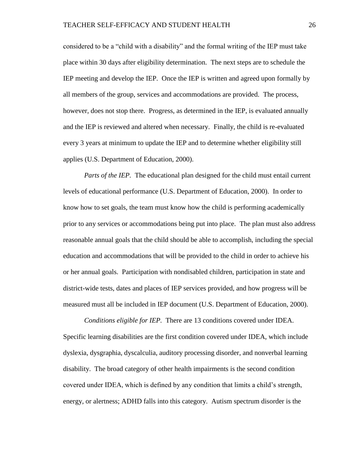considered to be a "child with a disability" and the formal writing of the IEP must take place within 30 days after eligibility determination. The next steps are to schedule the IEP meeting and develop the IEP. Once the IEP is written and agreed upon formally by all members of the group, services and accommodations are provided. The process, however, does not stop there. Progress, as determined in the IEP, is evaluated annually and the IEP is reviewed and altered when necessary. Finally, the child is re-evaluated every 3 years at minimum to update the IEP and to determine whether eligibility still applies (U.S. Department of Education, 2000).

*Parts of the IEP.* The educational plan designed for the child must entail current levels of educational performance (U.S. Department of Education, 2000). In order to know how to set goals, the team must know how the child is performing academically prior to any services or accommodations being put into place. The plan must also address reasonable annual goals that the child should be able to accomplish, including the special education and accommodations that will be provided to the child in order to achieve his or her annual goals. Participation with nondisabled children, participation in state and district-wide tests, dates and places of IEP services provided, and how progress will be measured must all be included in IEP document (U.S. Department of Education, 2000).

*Conditions eligible for IEP.* There are 13 conditions covered under IDEA. Specific learning disabilities are the first condition covered under IDEA, which include dyslexia, dysgraphia, dyscalculia, auditory processing disorder, and nonverbal learning disability. The broad category of other health impairments is the second condition covered under IDEA, which is defined by any condition that limits a child's strength, energy, or alertness; ADHD falls into this category. Autism spectrum disorder is the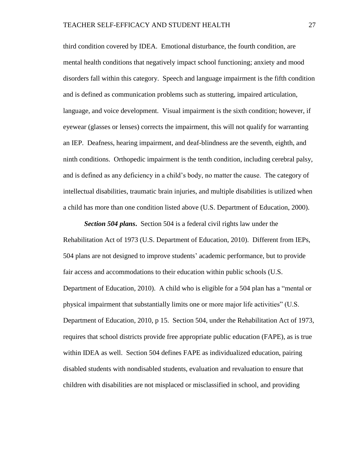third condition covered by IDEA. Emotional disturbance, the fourth condition, are mental health conditions that negatively impact school functioning; anxiety and mood disorders fall within this category. Speech and language impairment is the fifth condition and is defined as communication problems such as stuttering, impaired articulation, language, and voice development. Visual impairment is the sixth condition; however, if eyewear (glasses or lenses) corrects the impairment, this will not qualify for warranting an IEP. Deafness, hearing impairment, and deaf-blindness are the seventh, eighth, and ninth conditions. Orthopedic impairment is the tenth condition, including cerebral palsy, and is defined as any deficiency in a child's body, no matter the cause. The category of intellectual disabilities, traumatic brain injuries, and multiple disabilities is utilized when a child has more than one condition listed above (U.S. Department of Education, 2000).

*Section 504 plans***.** Section 504 is a federal civil rights law under the Rehabilitation Act of 1973 (U.S. Department of Education, 2010). Different from IEPs, 504 plans are not designed to improve students' academic performance, but to provide fair access and accommodations to their education within public schools (U.S. Department of Education, 2010). A child who is eligible for a 504 plan has a "mental or physical impairment that substantially limits one or more major life activities" (U.S. Department of Education, 2010, p 15. Section 504, under the Rehabilitation Act of 1973, requires that school districts provide free appropriate public education (FAPE), as is true within IDEA as well. Section 504 defines FAPE as individualized education, pairing disabled students with nondisabled students, evaluation and revaluation to ensure that children with disabilities are not misplaced or misclassified in school, and providing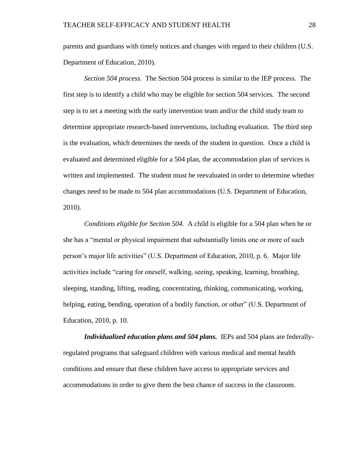parents and guardians with timely notices and changes with regard to their children (U.S. Department of Education, 2010).

*Section 504 process.* The Section 504 process is similar to the IEP process. The first step is to identify a child who may be eligible for section 504 services. The second step is to set a meeting with the early intervention team and/or the child study team to determine appropriate research-based interventions, including evaluation. The third step is the evaluation, which determines the needs of the student in question. Once a child is evaluated and determined eligible for a 504 plan, the accommodation plan of services is written and implemented. The student must be reevaluated in order to determine whether changes need to be made to 504 plan accommodations (U.S. Department of Education, 2010).

*Conditions eligible for Section 504.* A child is eligible for a 504 plan when he or she has a "mental or physical impairment that substantially limits one or more of such person's major life activities" (U.S. Department of Education, 2010, p. 6. Major life activities include "caring for oneself, walking, seeing, speaking, learning, breathing, sleeping, standing, lifting, reading, concentrating, thinking, communicating, working, helping, eating, bending, operation of a bodily function, or other" (U.S. Department of Education, 2010, p. 10.

*Individualized education plans and 504 plans.* IEPs and 504 plans are federallyregulated programs that safeguard children with various medical and mental health conditions and ensure that these children have access to appropriate services and accommodations in order to give them the best chance of success in the classroom.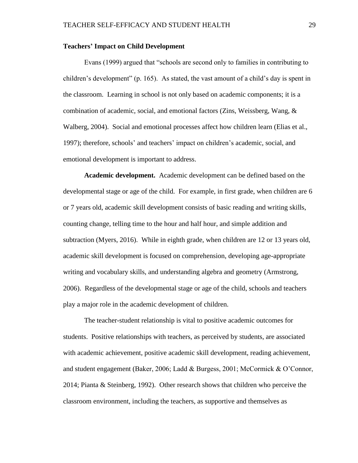### **Teachers' Impact on Child Development**

Evans (1999) argued that "schools are second only to families in contributing to children's development" (p. 165). As stated, the vast amount of a child's day is spent in the classroom. Learning in school is not only based on academic components; it is a combination of academic, social, and emotional factors (Zins, Weissberg, Wang, & Walberg, 2004). Social and emotional processes affect how children learn (Elias et al., 1997); therefore, schools' and teachers' impact on children's academic, social, and emotional development is important to address.

**Academic development.** Academic development can be defined based on the developmental stage or age of the child. For example, in first grade, when children are 6 or 7 years old, academic skill development consists of basic reading and writing skills, counting change, telling time to the hour and half hour, and simple addition and subtraction (Myers, 2016). While in eighth grade, when children are 12 or 13 years old, academic skill development is focused on comprehension, developing age-appropriate writing and vocabulary skills, and understanding algebra and geometry (Armstrong, 2006). Regardless of the developmental stage or age of the child, schools and teachers play a major role in the academic development of children.

The teacher-student relationship is vital to positive academic outcomes for students. Positive relationships with teachers, as perceived by students, are associated with academic achievement, positive academic skill development, reading achievement, and student engagement (Baker, 2006; Ladd & Burgess, 2001; McCormick & O'Connor, 2014; Pianta & Steinberg, 1992). Other research shows that children who perceive the classroom environment, including the teachers, as supportive and themselves as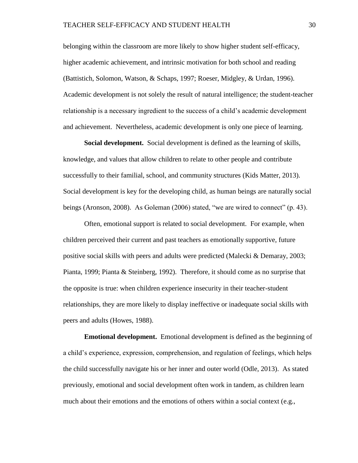belonging within the classroom are more likely to show higher student self-efficacy, higher academic achievement, and intrinsic motivation for both school and reading (Battistich, Solomon, Watson, & Schaps, 1997; Roeser, Midgley, & Urdan, 1996). Academic development is not solely the result of natural intelligence; the student-teacher relationship is a necessary ingredient to the success of a child's academic development and achievement. Nevertheless, academic development is only one piece of learning.

**Social development.** Social development is defined as the learning of skills, knowledge, and values that allow children to relate to other people and contribute successfully to their familial, school, and community structures (Kids Matter, 2013). Social development is key for the developing child, as human beings are naturally social beings (Aronson, 2008). As Goleman (2006) stated, "we are wired to connect" (p. 43).

Often, emotional support is related to social development. For example, when children perceived their current and past teachers as emotionally supportive, future positive social skills with peers and adults were predicted (Malecki & Demaray, 2003; Pianta, 1999; Pianta & Steinberg, 1992). Therefore, it should come as no surprise that the opposite is true: when children experience insecurity in their teacher-student relationships, they are more likely to display ineffective or inadequate social skills with peers and adults (Howes, 1988).

**Emotional development.** Emotional development is defined as the beginning of a child's experience, expression, comprehension, and regulation of feelings, which helps the child successfully navigate his or her inner and outer world (Odle, 2013). As stated previously, emotional and social development often work in tandem, as children learn much about their emotions and the emotions of others within a social context (e.g.,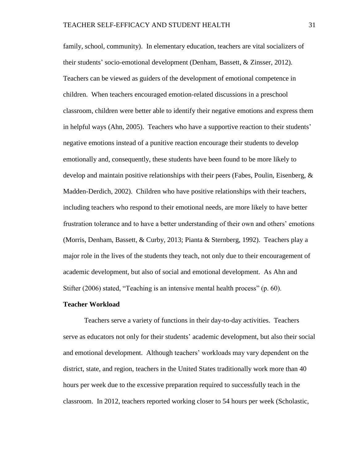family, school, community). In elementary education, teachers are vital socializers of their students' socio-emotional development (Denham, Bassett, & Zinsser, 2012). Teachers can be viewed as guiders of the development of emotional competence in children. When teachers encouraged emotion-related discussions in a preschool classroom, children were better able to identify their negative emotions and express them in helpful ways (Ahn, 2005). Teachers who have a supportive reaction to their students' negative emotions instead of a punitive reaction encourage their students to develop emotionally and, consequently, these students have been found to be more likely to develop and maintain positive relationships with their peers (Fabes, Poulin, Eisenberg,  $\&$ Madden-Derdich, 2002). Children who have positive relationships with their teachers, including teachers who respond to their emotional needs, are more likely to have better frustration tolerance and to have a better understanding of their own and others' emotions (Morris, Denham, Bassett, & Curby, 2013; Pianta & Sternberg, 1992). Teachers play a major role in the lives of the students they teach, not only due to their encouragement of academic development, but also of social and emotional development. As Ahn and Stifter (2006) stated, "Teaching is an intensive mental health process" (p. 60).

#### **Teacher Workload**

Teachers serve a variety of functions in their day-to-day activities. Teachers serve as educators not only for their students' academic development, but also their social and emotional development. Although teachers' workloads may vary dependent on the district, state, and region, teachers in the United States traditionally work more than 40 hours per week due to the excessive preparation required to successfully teach in the classroom. In 2012, teachers reported working closer to 54 hours per week (Scholastic,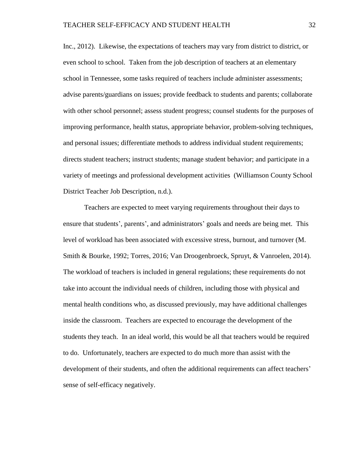Inc., 2012). Likewise, the expectations of teachers may vary from district to district, or even school to school. Taken from the job description of teachers at an elementary school in Tennessee, some tasks required of teachers include administer assessments; advise parents/guardians on issues; provide feedback to students and parents; collaborate with other school personnel; assess student progress; counsel students for the purposes of improving performance, health status, appropriate behavior, problem-solving techniques, and personal issues; differentiate methods to address individual student requirements; directs student teachers; instruct students; manage student behavior; and participate in a variety of meetings and professional development activities (Williamson County School District Teacher Job Description, n.d.).

Teachers are expected to meet varying requirements throughout their days to ensure that students', parents', and administrators' goals and needs are being met. This level of workload has been associated with excessive stress, burnout, and turnover (M. Smith & Bourke, 1992; Torres, 2016; Van Droogenbroeck, Spruyt, & Vanroelen, 2014). The workload of teachers is included in general regulations; these requirements do not take into account the individual needs of children, including those with physical and mental health conditions who, as discussed previously, may have additional challenges inside the classroom. Teachers are expected to encourage the development of the students they teach. In an ideal world, this would be all that teachers would be required to do. Unfortunately, teachers are expected to do much more than assist with the development of their students, and often the additional requirements can affect teachers' sense of self-efficacy negatively.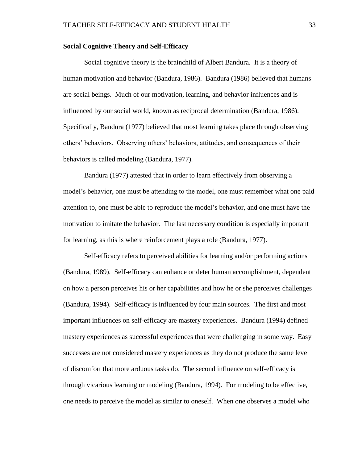### **Social Cognitive Theory and Self-Efficacy**

Social cognitive theory is the brainchild of Albert Bandura. It is a theory of human motivation and behavior (Bandura, 1986). Bandura (1986) believed that humans are social beings. Much of our motivation, learning, and behavior influences and is influenced by our social world, known as reciprocal determination (Bandura, 1986). Specifically, Bandura (1977) believed that most learning takes place through observing others' behaviors. Observing others' behaviors, attitudes, and consequences of their behaviors is called modeling (Bandura, 1977).

Bandura (1977) attested that in order to learn effectively from observing a model's behavior, one must be attending to the model, one must remember what one paid attention to, one must be able to reproduce the model's behavior, and one must have the motivation to imitate the behavior. The last necessary condition is especially important for learning, as this is where reinforcement plays a role (Bandura, 1977).

Self-efficacy refers to perceived abilities for learning and/or performing actions (Bandura, 1989). Self-efficacy can enhance or deter human accomplishment, dependent on how a person perceives his or her capabilities and how he or she perceives challenges (Bandura, 1994). Self-efficacy is influenced by four main sources. The first and most important influences on self-efficacy are mastery experiences. Bandura (1994) defined mastery experiences as successful experiences that were challenging in some way. Easy successes are not considered mastery experiences as they do not produce the same level of discomfort that more arduous tasks do. The second influence on self-efficacy is through vicarious learning or modeling (Bandura, 1994). For modeling to be effective, one needs to perceive the model as similar to oneself. When one observes a model who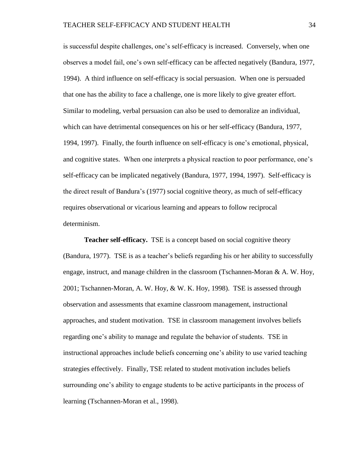is successful despite challenges, one's self-efficacy is increased. Conversely, when one observes a model fail, one's own self-efficacy can be affected negatively (Bandura, 1977, 1994). A third influence on self-efficacy is social persuasion. When one is persuaded that one has the ability to face a challenge, one is more likely to give greater effort. Similar to modeling, verbal persuasion can also be used to demoralize an individual, which can have detrimental consequences on his or her self-efficacy (Bandura, 1977, 1994, 1997). Finally, the fourth influence on self-efficacy is one's emotional, physical, and cognitive states. When one interprets a physical reaction to poor performance, one's self-efficacy can be implicated negatively (Bandura, 1977, 1994, 1997). Self-efficacy is the direct result of Bandura's (1977) social cognitive theory, as much of self-efficacy requires observational or vicarious learning and appears to follow reciprocal determinism.

**Teacher self-efficacy.** TSE is a concept based on social cognitive theory (Bandura, 1977). TSE is as a teacher's beliefs regarding his or her ability to successfully engage, instruct, and manage children in the classroom (Tschannen-Moran & A. W. Hoy, 2001; Tschannen-Moran, A. W. Hoy, & W. K. Hoy, 1998). TSE is assessed through observation and assessments that examine classroom management, instructional approaches, and student motivation. TSE in classroom management involves beliefs regarding one's ability to manage and regulate the behavior of students. TSE in instructional approaches include beliefs concerning one's ability to use varied teaching strategies effectively. Finally, TSE related to student motivation includes beliefs surrounding one's ability to engage students to be active participants in the process of learning (Tschannen-Moran et al., 1998).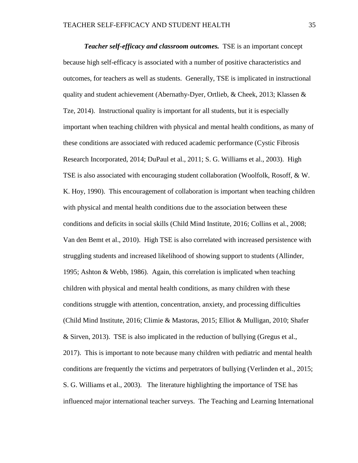*Teacher self-efficacy and classroom outcomes.* TSE is an important concept because high self-efficacy is associated with a number of positive characteristics and outcomes, for teachers as well as students. Generally, TSE is implicated in instructional quality and student achievement (Abernathy-Dyer, Ortlieb, & Cheek, 2013; Klassen & Tze, 2014). Instructional quality is important for all students, but it is especially important when teaching children with physical and mental health conditions, as many of these conditions are associated with reduced academic performance (Cystic Fibrosis Research Incorporated, 2014; DuPaul et al., 2011; S. G. Williams et al., 2003). High TSE is also associated with encouraging student collaboration (Woolfolk, Rosoff, & W. K. Hoy, 1990). This encouragement of collaboration is important when teaching children with physical and mental health conditions due to the association between these conditions and deficits in social skills (Child Mind Institute, 2016; Collins et al., 2008; Van den Bemt et al., 2010). High TSE is also correlated with increased persistence with struggling students and increased likelihood of showing support to students (Allinder, 1995; Ashton & Webb, 1986). Again, this correlation is implicated when teaching children with physical and mental health conditions, as many children with these conditions struggle with attention, concentration, anxiety, and processing difficulties (Child Mind Institute, 2016; Climie & Mastoras, 2015; Elliot & Mulligan, 2010; Shafer & Sirven, 2013). TSE is also implicated in the reduction of bullying (Gregus et al., 2017). This is important to note because many children with pediatric and mental health conditions are frequently the victims and perpetrators of bullying (Verlinden et al., 2015; S. G. Williams et al., 2003). The literature highlighting the importance of TSE has influenced major international teacher surveys. The Teaching and Learning International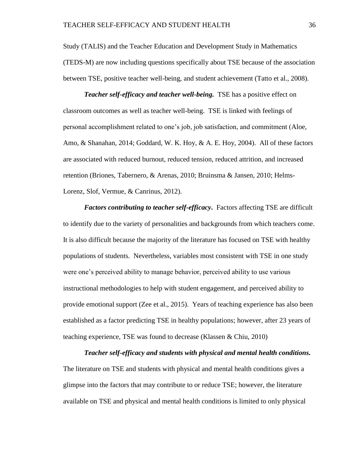Study (TALIS) and the Teacher Education and Development Study in Mathematics (TEDS-M) are now including questions specifically about TSE because of the association between TSE, positive teacher well-being, and student achievement (Tatto et al., 2008).

*Teacher self-efficacy and teacher well-being.* TSE has a positive effect on classroom outcomes as well as teacher well-being. TSE is linked with feelings of personal accomplishment related to one's job, job satisfaction, and commitment (Aloe, Amo, & Shanahan, 2014; Goddard, W. K. Hoy, & A. E. Hoy, 2004). All of these factors are associated with reduced burnout, reduced tension, reduced attrition, and increased retention (Briones, Tabernero, & Arenas, 2010; Bruinsma & Jansen, 2010; Helms-Lorenz, Slof, Vermue, & Canrinus, 2012).

*Factors contributing to teacher self-efficacy***.** Factors affecting TSE are difficult to identify due to the variety of personalities and backgrounds from which teachers come. It is also difficult because the majority of the literature has focused on TSE with healthy populations of students. Nevertheless, variables most consistent with TSE in one study were one's perceived ability to manage behavior, perceived ability to use various instructional methodologies to help with student engagement, and perceived ability to provide emotional support (Zee et al., 2015). Years of teaching experience has also been established as a factor predicting TSE in healthy populations; however, after 23 years of teaching experience, TSE was found to decrease (Klassen & Chiu, 2010)

*Teacher self-efficacy and students with physical and mental health conditions.* The literature on TSE and students with physical and mental health conditions gives a glimpse into the factors that may contribute to or reduce TSE; however, the literature available on TSE and physical and mental health conditions is limited to only physical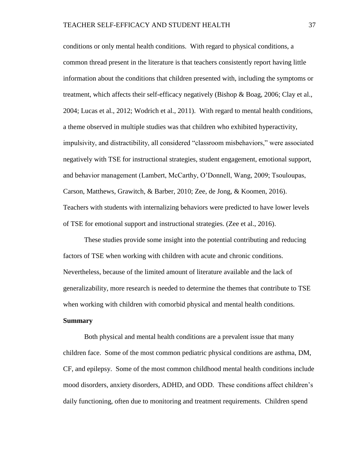conditions or only mental health conditions. With regard to physical conditions, a common thread present in the literature is that teachers consistently report having little information about the conditions that children presented with, including the symptoms or treatment, which affects their self-efficacy negatively (Bishop & Boag, 2006; Clay et al., 2004; Lucas et al., 2012; Wodrich et al., 2011). With regard to mental health conditions, a theme observed in multiple studies was that children who exhibited hyperactivity, impulsivity, and distractibility, all considered "classroom misbehaviors," were associated negatively with TSE for instructional strategies, student engagement, emotional support, and behavior management (Lambert, McCarthy, O'Donnell, Wang, 2009; Tsouloupas, Carson, Matthews, Grawitch, & Barber, 2010; Zee, de Jong, & Koomen, 2016). Teachers with students with internalizing behaviors were predicted to have lower levels of TSE for emotional support and instructional strategies. (Zee et al., 2016).

These studies provide some insight into the potential contributing and reducing factors of TSE when working with children with acute and chronic conditions. Nevertheless, because of the limited amount of literature available and the lack of generalizability, more research is needed to determine the themes that contribute to TSE when working with children with comorbid physical and mental health conditions.

# **Summary**

Both physical and mental health conditions are a prevalent issue that many children face. Some of the most common pediatric physical conditions are asthma, DM, CF, and epilepsy. Some of the most common childhood mental health conditions include mood disorders, anxiety disorders, ADHD, and ODD. These conditions affect children's daily functioning, often due to monitoring and treatment requirements. Children spend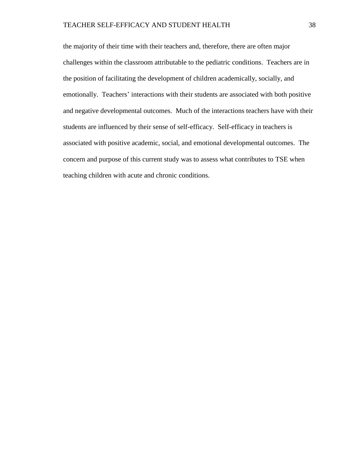the majority of their time with their teachers and, therefore, there are often major challenges within the classroom attributable to the pediatric conditions. Teachers are in the position of facilitating the development of children academically, socially, and emotionally. Teachers' interactions with their students are associated with both positive and negative developmental outcomes. Much of the interactions teachers have with their students are influenced by their sense of self-efficacy. Self-efficacy in teachers is associated with positive academic, social, and emotional developmental outcomes. The concern and purpose of this current study was to assess what contributes to TSE when teaching children with acute and chronic conditions.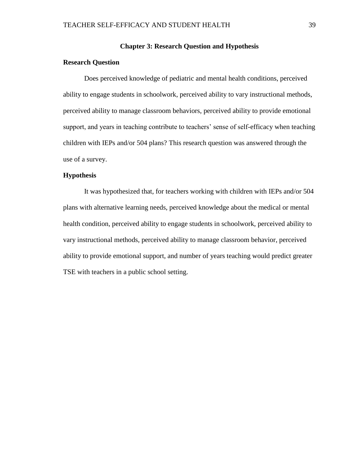### **Chapter 3: Research Question and Hypothesis**

### **Research Question**

Does perceived knowledge of pediatric and mental health conditions, perceived ability to engage students in schoolwork, perceived ability to vary instructional methods, perceived ability to manage classroom behaviors, perceived ability to provide emotional support, and years in teaching contribute to teachers' sense of self-efficacy when teaching children with IEPs and/or 504 plans? This research question was answered through the use of a survey.

# **Hypothesis**

It was hypothesized that, for teachers working with children with IEPs and/or 504 plans with alternative learning needs, perceived knowledge about the medical or mental health condition, perceived ability to engage students in schoolwork, perceived ability to vary instructional methods, perceived ability to manage classroom behavior, perceived ability to provide emotional support, and number of years teaching would predict greater TSE with teachers in a public school setting.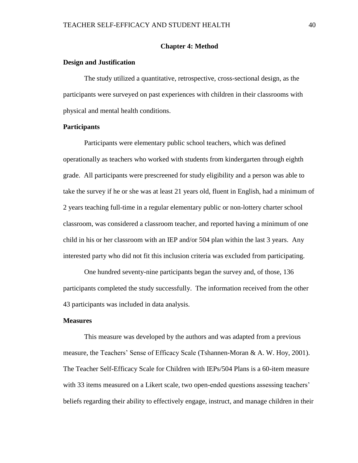### **Chapter 4: Method**

### **Design and Justification**

The study utilized a quantitative, retrospective, cross-sectional design, as the participants were surveyed on past experiences with children in their classrooms with physical and mental health conditions.

# **Participants**

Participants were elementary public school teachers, which was defined operationally as teachers who worked with students from kindergarten through eighth grade. All participants were prescreened for study eligibility and a person was able to take the survey if he or she was at least 21 years old, fluent in English, had a minimum of 2 years teaching full-time in a regular elementary public or non-lottery charter school classroom, was considered a classroom teacher, and reported having a minimum of one child in his or her classroom with an IEP and/or 504 plan within the last 3 years. Any interested party who did not fit this inclusion criteria was excluded from participating.

One hundred seventy-nine participants began the survey and, of those, 136 participants completed the study successfully. The information received from the other 43 participants was included in data analysis.

#### **Measures**

This measure was developed by the authors and was adapted from a previous measure, the Teachers' Sense of Efficacy Scale (Tshannen-Moran & A. W. Hoy, 2001). The Teacher Self-Efficacy Scale for Children with IEPs/504 Plans is a 60-item measure with 33 items measured on a Likert scale, two open-ended questions assessing teachers' beliefs regarding their ability to effectively engage, instruct, and manage children in their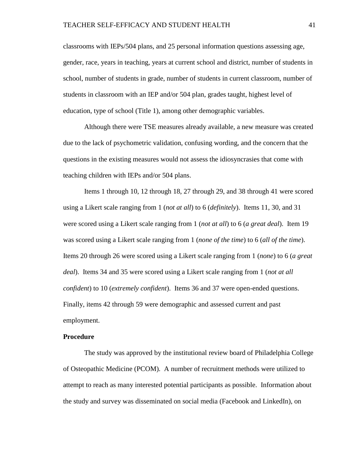classrooms with IEPs/504 plans, and 25 personal information questions assessing age, gender, race, years in teaching, years at current school and district, number of students in school, number of students in grade, number of students in current classroom, number of students in classroom with an IEP and/or 504 plan, grades taught, highest level of education, type of school (Title 1), among other demographic variables.

Although there were TSE measures already available, a new measure was created due to the lack of psychometric validation, confusing wording, and the concern that the questions in the existing measures would not assess the idiosyncrasies that come with teaching children with IEPs and/or 504 plans.

Items 1 through 10, 12 through 18, 27 through 29, and 38 through 41 were scored using a Likert scale ranging from 1 (*not at all*) to 6 (*definitely*). Items 11, 30, and 31 were scored using a Likert scale ranging from 1 (*not at all*) to 6 (*a great deal*). Item 19 was scored using a Likert scale ranging from 1 (*none of the time*) to 6 (*all of the time*). Items 20 through 26 were scored using a Likert scale ranging from 1 (*none*) to 6 (*a great deal*). Items 34 and 35 were scored using a Likert scale ranging from 1 (*not at all confident*) to 10 (*extremely confident*). Items 36 and 37 were open-ended questions. Finally, items 42 through 59 were demographic and assessed current and past employment.

### **Procedure**

The study was approved by the institutional review board of Philadelphia College of Osteopathic Medicine (PCOM). A number of recruitment methods were utilized to attempt to reach as many interested potential participants as possible. Information about the study and survey was disseminated on social media (Facebook and LinkedIn), on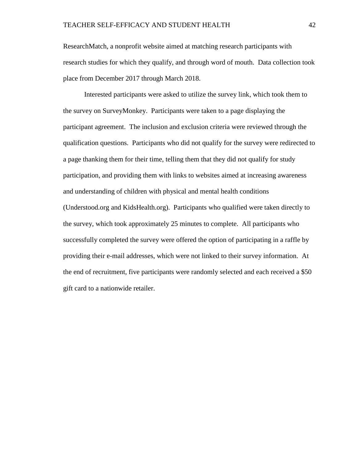ResearchMatch, a nonprofit website aimed at matching research participants with research studies for which they qualify, and through word of mouth. Data collection took place from December 2017 through March 2018.

Interested participants were asked to utilize the survey link, which took them to the survey on SurveyMonkey. Participants were taken to a page displaying the participant agreement. The inclusion and exclusion criteria were reviewed through the qualification questions. Participants who did not qualify for the survey were redirected to a page thanking them for their time, telling them that they did not qualify for study participation, and providing them with links to websites aimed at increasing awareness and understanding of children with physical and mental health conditions (Understood.org and KidsHealth.org). Participants who qualified were taken directly to the survey, which took approximately 25 minutes to complete. All participants who successfully completed the survey were offered the option of participating in a raffle by providing their e-mail addresses, which were not linked to their survey information. At the end of recruitment, five participants were randomly selected and each received a \$50 gift card to a nationwide retailer.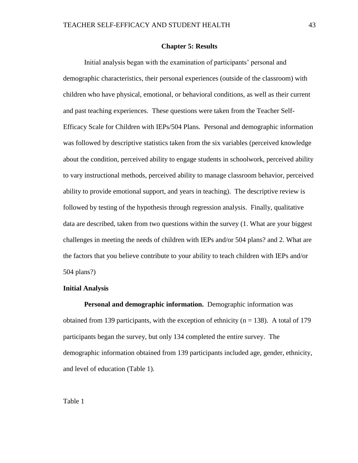#### **Chapter 5: Results**

Initial analysis began with the examination of participants' personal and demographic characteristics, their personal experiences (outside of the classroom) with children who have physical, emotional, or behavioral conditions, as well as their current and past teaching experiences. These questions were taken from the Teacher Self-Efficacy Scale for Children with IEPs/504 Plans. Personal and demographic information was followed by descriptive statistics taken from the six variables (perceived knowledge about the condition, perceived ability to engage students in schoolwork, perceived ability to vary instructional methods, perceived ability to manage classroom behavior, perceived ability to provide emotional support, and years in teaching). The descriptive review is followed by testing of the hypothesis through regression analysis. Finally, qualitative data are described, taken from two questions within the survey (1. What are your biggest challenges in meeting the needs of children with IEPs and/or 504 plans? and 2. What are the factors that you believe contribute to your ability to teach children with IEPs and/or 504 plans?)

#### **Initial Analysis**

**Personal and demographic information.** Demographic information was obtained from 139 participants, with the exception of ethnicity ( $n = 138$ ). A total of 179 participants began the survey, but only 134 completed the entire survey. The demographic information obtained from 139 participants included age, gender, ethnicity, and level of education (Table 1).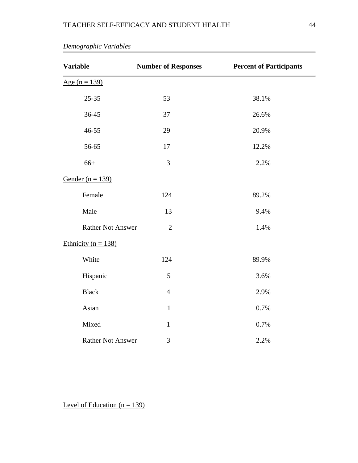| <b>Variable</b>          | <b>Number of Responses</b> | <b>Percent of Participants</b> |
|--------------------------|----------------------------|--------------------------------|
| Age $(n = 139)$          |                            |                                |
| $25 - 35$                | 53                         | 38.1%                          |
| 36-45                    | 37                         | 26.6%                          |
| 46-55                    | 29                         | 20.9%                          |
| 56-65                    | 17                         | 12.2%                          |
| $66+$                    | 3                          | 2.2%                           |
| Gender ( $n = 139$ )     |                            |                                |
| Female                   | 124                        | 89.2%                          |
| Male                     | 13                         | 9.4%                           |
| <b>Rather Not Answer</b> | $\overline{2}$             | 1.4%                           |
| Ethnicity ( $n = 138$ )  |                            |                                |
| White                    | 124                        | 89.9%                          |
| Hispanic                 | 5                          | 3.6%                           |
| <b>Black</b>             | $\overline{4}$             | 2.9%                           |
| Asian                    | $\mathbf{1}$               | 0.7%                           |
| Mixed                    | $\mathbf{1}$               | 0.7%                           |
| <b>Rather Not Answer</b> | 3                          | 2.2%                           |

*Demographic Variables*

Level of Education  $(n = 139)$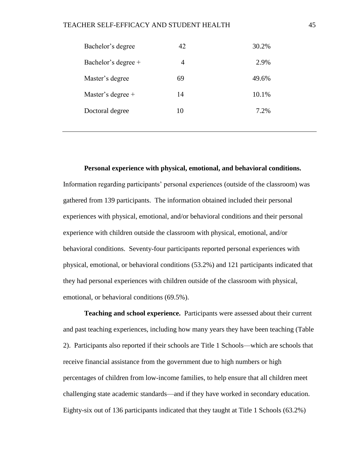| Bachelor's degree   | 42 | 30.2% |
|---------------------|----|-------|
| Bachelor's degree + | 4  | 2.9%  |
| Master's degree     | 69 | 49.6% |
| Master's degree +   | 14 | 10.1% |
| Doctoral degree     | 10 | 7.2%  |
|                     |    |       |

### **Personal experience with physical, emotional, and behavioral conditions.**

Information regarding participants' personal experiences (outside of the classroom) was gathered from 139 participants. The information obtained included their personal experiences with physical, emotional, and/or behavioral conditions and their personal experience with children outside the classroom with physical, emotional, and/or behavioral conditions. Seventy-four participants reported personal experiences with physical, emotional, or behavioral conditions (53.2%) and 121 participants indicated that they had personal experiences with children outside of the classroom with physical, emotional, or behavioral conditions (69.5%).

**Teaching and school experience.** Participants were assessed about their current and past teaching experiences, including how many years they have been teaching (Table 2). Participants also reported if their schools are Title 1 Schools—which are schools that receive financial assistance from the government due to high numbers or high percentages of children from low-income families, to help ensure that all children meet challenging state academic standards—and if they have worked in secondary education. Eighty-six out of 136 participants indicated that they taught at Title 1 Schools (63.2%)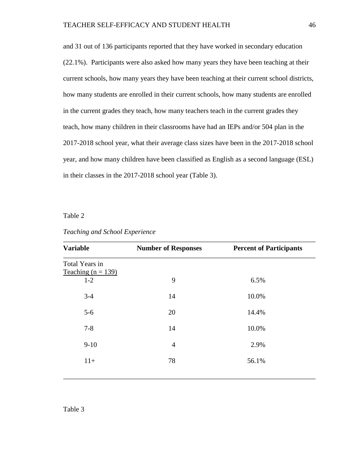and 31 out of 136 participants reported that they have worked in secondary education (22.1%). Participants were also asked how many years they have been teaching at their current schools, how many years they have been teaching at their current school districts, how many students are enrolled in their current schools, how many students are enrolled in the current grades they teach, how many teachers teach in the current grades they teach, how many children in their classrooms have had an IEPs and/or 504 plan in the 2017-2018 school year, what their average class sizes have been in the 2017-2018 school year, and how many children have been classified as English as a second language (ESL) in their classes in the 2017-2018 school year (Table 3).

Table 2

| <b>Variable</b>                        | <b>Number of Responses</b> | <b>Percent of Participants</b> |
|----------------------------------------|----------------------------|--------------------------------|
| Total Years in<br>Teaching $(n = 139)$ |                            |                                |
| $1-2$                                  | 9                          | 6.5%                           |
| $3 - 4$                                | 14                         | 10.0%                          |
| $5-6$                                  | 20                         | 14.4%                          |
| $7 - 8$                                | 14                         | 10.0%                          |
| $9-10$                                 | $\overline{4}$             | 2.9%                           |
| $11+$                                  | 78                         | 56.1%                          |
|                                        |                            |                                |

*Teaching and School Experience*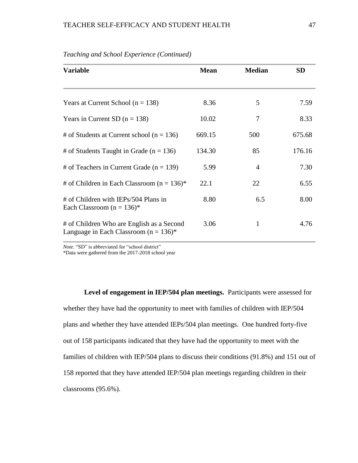| <b>Variable</b>                                                                        | <b>Mean</b> | <b>Median</b>  | <b>SD</b> |
|----------------------------------------------------------------------------------------|-------------|----------------|-----------|
| Years at Current School ( $n = 138$ )                                                  | 8.36        | 5              | 7.59      |
|                                                                                        |             |                |           |
| Years in Current SD $(n = 138)$                                                        | 10.02       | 7              | 8.33      |
| # of Students at Current school ( $n = 136$ )                                          | 669.15      | 500            | 675.68    |
| # of Students Taught in Grade ( $n = 136$ )                                            | 134.30      | 85             | 176.16    |
| # of Teachers in Current Grade ( $n = 139$ )                                           | 5.99        | $\overline{4}$ | 7.30      |
| # of Children in Each Classroom ( $n = 136$ )*                                         | 22.1        | 22             | 6.55      |
| # of Children with IEPs/504 Plans in<br>Each Classroom ( $n = 136$ )*                  | 8.80        | 6.5            | 8.00      |
| # of Children Who are English as a Second<br>Language in Each Classroom ( $n = 136$ )* | 3.06        | 1              | 4.76      |

*Teaching and School Experience (Continued)*

*Note.* "SD" is abbreviated for "school district"

\*Data were gathered from the 2017-2018 school year

Level of engagement in IEP/504 plan meetings. Participants were assessed for whether they have had the opportunity to meet with families of children with IEP/504 plans and whether they have attended IEPs/504 plan meetings. One hundred forty-five out of 158 participants indicated that they have had the opportunity to meet with the families of children with IEP/504 plans to discuss their conditions (91.8%) and 151 out of 158 reported that they have attended IEP/504 plan meetings regarding children in their classrooms (95.6%).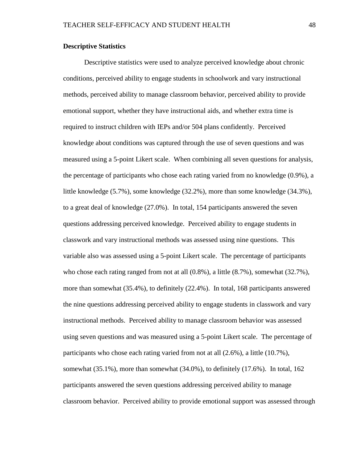# **Descriptive Statistics**

Descriptive statistics were used to analyze perceived knowledge about chronic conditions, perceived ability to engage students in schoolwork and vary instructional methods, perceived ability to manage classroom behavior, perceived ability to provide emotional support, whether they have instructional aids, and whether extra time is required to instruct children with IEPs and/or 504 plans confidently. Perceived knowledge about conditions was captured through the use of seven questions and was measured using a 5-point Likert scale. When combining all seven questions for analysis, the percentage of participants who chose each rating varied from no knowledge (0.9%), a little knowledge (5.7%), some knowledge (32.2%), more than some knowledge (34.3%), to a great deal of knowledge (27.0%). In total, 154 participants answered the seven questions addressing perceived knowledge. Perceived ability to engage students in classwork and vary instructional methods was assessed using nine questions. This variable also was assessed using a 5-point Likert scale. The percentage of participants who chose each rating ranged from not at all (0.8%), a little (8.7%), somewhat (32.7%), more than somewhat (35.4%), to definitely (22.4%). In total, 168 participants answered the nine questions addressing perceived ability to engage students in classwork and vary instructional methods. Perceived ability to manage classroom behavior was assessed using seven questions and was measured using a 5-point Likert scale. The percentage of participants who chose each rating varied from not at all (2.6%), a little (10.7%), somewhat (35.1%), more than somewhat (34.0%), to definitely (17.6%). In total, 162 participants answered the seven questions addressing perceived ability to manage classroom behavior. Perceived ability to provide emotional support was assessed through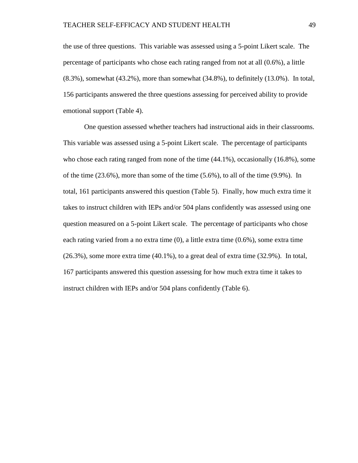the use of three questions. This variable was assessed using a 5-point Likert scale. The percentage of participants who chose each rating ranged from not at all (0.6%), a little  $(8.3\%)$ , somewhat  $(43.2\%)$ , more than somewhat  $(34.8\%)$ , to definitely  $(13.0\%)$ . In total, 156 participants answered the three questions assessing for perceived ability to provide emotional support (Table 4).

One question assessed whether teachers had instructional aids in their classrooms. This variable was assessed using a 5-point Likert scale. The percentage of participants who chose each rating ranged from none of the time (44.1%), occasionally (16.8%), some of the time  $(23.6\%)$ , more than some of the time  $(5.6\%)$ , to all of the time  $(9.9\%)$ . In total, 161 participants answered this question (Table 5). Finally, how much extra time it takes to instruct children with IEPs and/or 504 plans confidently was assessed using one question measured on a 5-point Likert scale. The percentage of participants who chose each rating varied from a no extra time (0), a little extra time (0.6%), some extra time (26.3%), some more extra time (40.1%), to a great deal of extra time (32.9%). In total, 167 participants answered this question assessing for how much extra time it takes to instruct children with IEPs and/or 504 plans confidently (Table 6).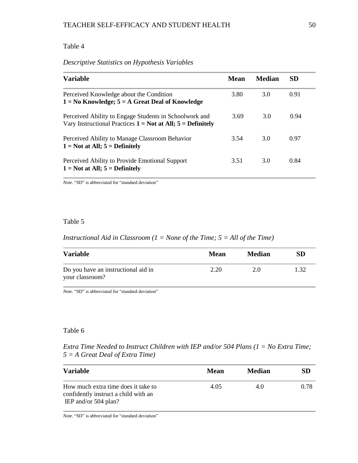# Table 4

# *Descriptive Statistics on Hypothesis Variables*

| <b>Variable</b>                                                                                                           | <b>Mean</b> | <b>Median</b> | <b>SD</b> |
|---------------------------------------------------------------------------------------------------------------------------|-------------|---------------|-----------|
| Perceived Knowledge about the Condition<br>$1 = No$ Knowledge; $5 = A$ Great Deal of Knowledge                            | 3.80        | 3.0           | 0.91      |
| Perceived Ability to Engage Students in Schoolwork and<br>Vary Instructional Practices $1 = Not$ at All; $5 = Definitely$ | 3.69        | 3.0           | 0.94      |
| Perceived Ability to Manage Classroom Behavior<br>$1 = Not$ at All; $5 = Definitely$                                      | 3.54        | 3.0           | 0.97      |
| Perceived Ability to Provide Emotional Support<br>$1 = Not$ at All; $5 = Definitely$                                      | 3.51        | 3.0           | 0.84      |

*Note.* "SD" is abbreviated for "standard deviation"

# Table 5

# *Instructional Aid in Classroom (1 = None of the Time; 5 = All of the Time)*

| <b>Variable</b>                                        | Mean | <b>Median</b> | SD    |
|--------------------------------------------------------|------|---------------|-------|
| Do you have an instructional aid in<br>your classroom? | 2.20 | 2.0           | 1, 32 |

*Note.* "SD" is abbreviated for "standard deviation"

### Table 6

# *Extra Time Needed to Instruct Children with IEP and/or 504 Plans (1 = No Extra Time; 5 = A Great Deal of Extra Time)*

| <b>Variable</b>                                                                                       | Mean | <b>Median</b> | SD   |
|-------------------------------------------------------------------------------------------------------|------|---------------|------|
| How much extra time does it take to<br>confidently instruct a child with an<br>IEP and/or $504$ plan? | 4.05 | 4.0           | 0.78 |

*Note.* "SD" is abbreviated for "standard deviation"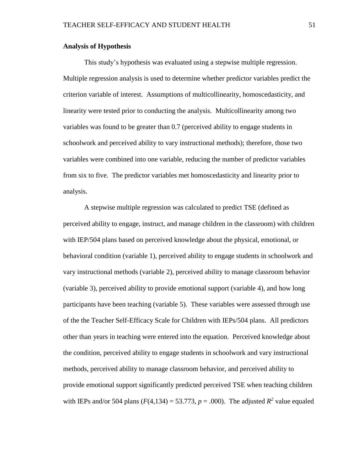# **Analysis of Hypothesis**

This study's hypothesis was evaluated using a stepwise multiple regression. Multiple regression analysis is used to determine whether predictor variables predict the criterion variable of interest. Assumptions of multicollinearity, homoscedasticity, and linearity were tested prior to conducting the analysis. Multicollinearity among two variables was found to be greater than 0.7 (perceived ability to engage students in schoolwork and perceived ability to vary instructional methods); therefore, those two variables were combined into one variable, reducing the number of predictor variables from six to five. The predictor variables met homoscedasticity and linearity prior to analysis.

A stepwise multiple regression was calculated to predict TSE (defined as perceived ability to engage, instruct, and manage children in the classroom) with children with IEP/504 plans based on perceived knowledge about the physical, emotional, or behavioral condition (variable 1), perceived ability to engage students in schoolwork and vary instructional methods (variable 2), perceived ability to manage classroom behavior (variable 3), perceived ability to provide emotional support (variable 4), and how long participants have been teaching (variable 5). These variables were assessed through use of the the Teacher Self-Efficacy Scale for Children with IEPs/504 plans. All predictors other than years in teaching were entered into the equation. Perceived knowledge about the condition, perceived ability to engage students in schoolwork and vary instructional methods, perceived ability to manage classroom behavior, and perceived ability to provide emotional support significantly predicted perceived TSE when teaching children with IEPs and/or 504 plans  $(F(4, 134) = 53.773, p = .000)$ . The adjusted  $R^2$  value equaled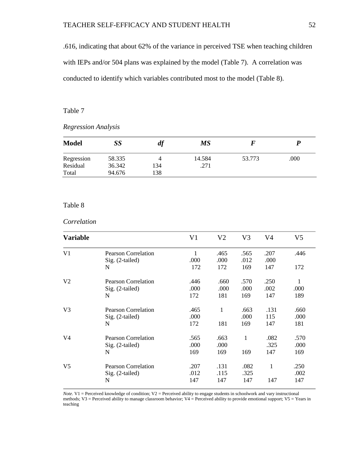.616, indicating that about 62% of the variance in perceived TSE when teaching children with IEPs and/or 504 plans was explained by the model (Table 7). A correlation was conducted to identify which variables contributed most to the model (Table 8).

# Table 7

# *Regression Analysis*

| <b>Model</b> | SS     | aj  | <b>MS</b> |        |      |
|--------------|--------|-----|-----------|--------|------|
| Regression   | 58.335 | 4   | 14.584    | 53.773 | .000 |
| Residual     | 36.342 | 134 | .271      |        |      |
| Total        | 94.676 | 138 |           |        |      |

### Table 8

# *Correlation*

| <b>Variable</b> |                            | V1   | V <sub>2</sub> | V <sub>3</sub> | V4   | V5   |
|-----------------|----------------------------|------|----------------|----------------|------|------|
| V <sub>1</sub>  | <b>Pearson Correlation</b> | 1    | .465           | .565           | .207 | .446 |
|                 | Sig. (2-tailed)            | .000 | .000           | .012           | .000 |      |
|                 | N                          | 172  | 172            | 169            | 147  | 172  |
| V <sub>2</sub>  | <b>Pearson Correlation</b> | .446 | .660           | .570           | .250 | 1    |
|                 | $Sig. (2-tailed)$          | .000 | .000           | .000           | .002 | .000 |
|                 | N                          | 172  | 181            | 169            | 147  | 189  |
| V <sub>3</sub>  | <b>Pearson Correlation</b> | .465 | 1              | .663           | .131 | .660 |
|                 | Sig. (2-tailed)            | .000 |                | .000           | 115  | .000 |
|                 | N                          | 172  | 181            | 169            | 147  | 181  |
| V <sub>4</sub>  | <b>Pearson Correlation</b> | .565 | .663           | 1              | .082 | .570 |
|                 | $Sig. (2-tailed)$          | .000 | .000           |                | .325 | .000 |
|                 | N                          | 169  | 169            | 169            | 147  | 169  |
| V <sub>5</sub>  | <b>Pearson Correlation</b> | .207 | .131           | .082           | 1    | .250 |
|                 | $Sig. (2-tailed)$          | .012 | .115           | .325           |      | .002 |
|                 | N                          | 147  | 147            | 147            | 147  | 147  |

*Note.* V1 = Perceived knowledge of condition; V2 = Perceived ability to engage students in schoolwork and vary instructional methods; V3 = Perceived ability to manage classroom behavior; V4 = Perceived ability to provide emotional support; V5 = Years in teaching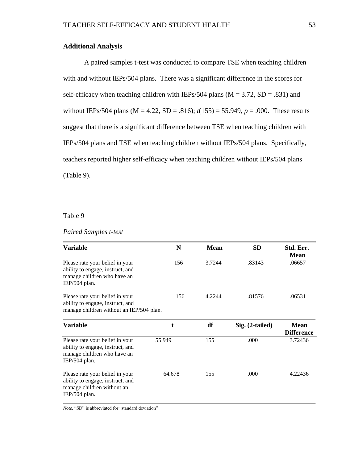# **Additional Analysis**

A paired samples t-test was conducted to compare TSE when teaching children with and without IEPs/504 plans. There was a significant difference in the scores for self-efficacy when teaching children with IEPs/504 plans ( $M = 3.72$ , SD = .831) and without IEPs/504 plans ( $M = 4.22$ ,  $SD = .816$ );  $t(155) = 55.949$ ,  $p = .000$ . These results suggest that there is a significant difference between TSE when teaching children with IEPs/504 plans and TSE when teaching children without IEPs/504 plans. Specifically, teachers reported higher self-efficacy when teaching children without IEPs/504 plans (Table 9).

Table 9

# *Paired Samples t-test*

| <b>Variable</b>                                                                                                     | N      | <b>Mean</b> | <b>SD</b>       | Std. Err.<br><b>Mean</b>         |
|---------------------------------------------------------------------------------------------------------------------|--------|-------------|-----------------|----------------------------------|
| Please rate your belief in your<br>ability to engage, instruct, and<br>manage children who have an<br>IEP/504 plan. | 156    | 3.7244      | .83143          | .06657                           |
| Please rate your belief in your<br>ability to engage, instruct, and<br>manage children without an IEP/504 plan.     | 156    | 4.2244      | .81576          | .06531                           |
| <b>Variable</b>                                                                                                     | t      | df          | Sig. (2-tailed) | <b>Mean</b><br><b>Difference</b> |
| Please rate your belief in your<br>ability to engage, instruct, and<br>manage children who have an<br>IEP/504 plan. | 55.949 | 155         | .000            | 3.72436                          |
| Please rate your belief in your<br>ability to engage, instruct, and<br>manage children without an<br>IEP/504 plan.  | 64.678 | 155         | .000            | 4.22436                          |

*Note.* "SD" is abbreviated for "standard deviation"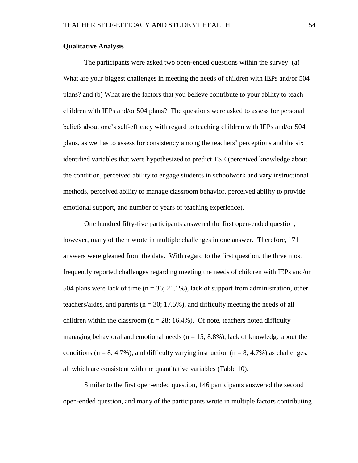# **Qualitative Analysis**

The participants were asked two open-ended questions within the survey: (a) What are your biggest challenges in meeting the needs of children with IEPs and/or 504 plans? and (b) What are the factors that you believe contribute to your ability to teach children with IEPs and/or 504 plans? The questions were asked to assess for personal beliefs about one's self-efficacy with regard to teaching children with IEPs and/or 504 plans, as well as to assess for consistency among the teachers' perceptions and the six identified variables that were hypothesized to predict TSE (perceived knowledge about the condition, perceived ability to engage students in schoolwork and vary instructional methods, perceived ability to manage classroom behavior, perceived ability to provide emotional support, and number of years of teaching experience).

One hundred fifty-five participants answered the first open-ended question; however, many of them wrote in multiple challenges in one answer. Therefore, 171 answers were gleaned from the data. With regard to the first question, the three most frequently reported challenges regarding meeting the needs of children with IEPs and/or 504 plans were lack of time  $(n = 36; 21.1\%)$ , lack of support from administration, other teachers/aides, and parents ( $n = 30$ ; 17.5%), and difficulty meeting the needs of all children within the classroom ( $n = 28$ ; 16.4%). Of note, teachers noted difficulty managing behavioral and emotional needs ( $n = 15$ ; 8.8%), lack of knowledge about the conditions ( $n = 8$ ; 4.7%), and difficulty varying instruction ( $n = 8$ ; 4.7%) as challenges, all which are consistent with the quantitative variables (Table 10).

Similar to the first open-ended question, 146 participants answered the second open-ended question, and many of the participants wrote in multiple factors contributing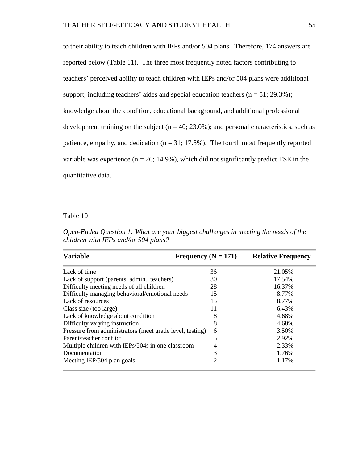to their ability to teach children with IEPs and/or 504 plans. Therefore, 174 answers are reported below (Table 11). The three most frequently noted factors contributing to teachers' perceived ability to teach children with IEPs and/or 504 plans were additional support, including teachers' aides and special education teachers  $(n = 51; 29.3\%)$ ; knowledge about the condition, educational background, and additional professional development training on the subject ( $n = 40$ ; 23.0%); and personal characteristics, such as patience, empathy, and dedication ( $n = 31$ ; 17.8%). The fourth most frequently reported variable was experience ( $n = 26$ ; 14.9%), which did not significantly predict TSE in the quantitative data.

Table 10

*Open-Ended Question 1: What are your biggest challenges in meeting the needs of the children with IEPs and/or 504 plans?*

| <b>Variable</b>                                          | Frequency ( $N = 171$ ) | <b>Relative Frequency</b> |
|----------------------------------------------------------|-------------------------|---------------------------|
| Lack of time                                             | 36                      | 21.05%                    |
| Lack of support (parents, admin., teachers)              | 30                      | 17.54%                    |
| Difficulty meeting needs of all children                 | 28                      | 16.37%                    |
| Difficulty managing behavioral/emotional needs           | 15                      | 8.77%                     |
| Lack of resources                                        | 15                      | 8.77%                     |
| Class size (too large)                                   | 11                      | 6.43%                     |
| Lack of knowledge about condition                        | 8                       | 4.68%                     |
| Difficulty varying instruction                           | 8                       | 4.68%                     |
| Pressure from administrators (meet grade level, testing) | 6                       | 3.50%                     |
| Parent/teacher conflict                                  | 5                       | 2.92%                     |
| Multiple children with IEPs/504s in one classroom        | 4                       | 2.33%                     |
| Documentation                                            | 3                       | 1.76%                     |
| Meeting IEP/504 plan goals                               | 2                       | 1.17%                     |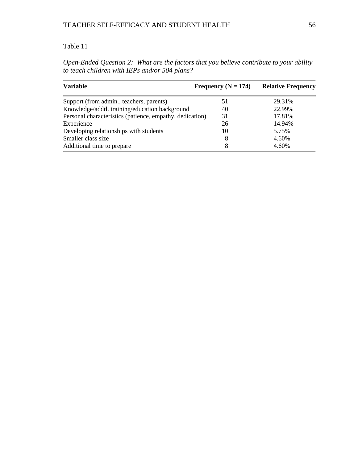# Table 11

| Open-Ended Question 2: What are the factors that you believe contribute to your ability |  |  |
|-----------------------------------------------------------------------------------------|--|--|
| to teach children with IEPs and/or 504 plans?                                           |  |  |

| <b>Variable</b>                                          | Frequency ( $N = 174$ ) | <b>Relative Frequency</b> |
|----------------------------------------------------------|-------------------------|---------------------------|
| Support (from admin., teachers, parents)                 | 51                      | 29.31%                    |
| Knowledge/addtl. training/education background           | 40                      | 22.99%                    |
| Personal characteristics (patience, empathy, dedication) | 31                      | 17.81%                    |
| Experience                                               | 26                      | 14.94%                    |
| Developing relationships with students                   | 10                      | 5.75%                     |
| Smaller class size                                       | 8                       | 4.60%                     |
| Additional time to prepare                               | 8                       | 4.60%                     |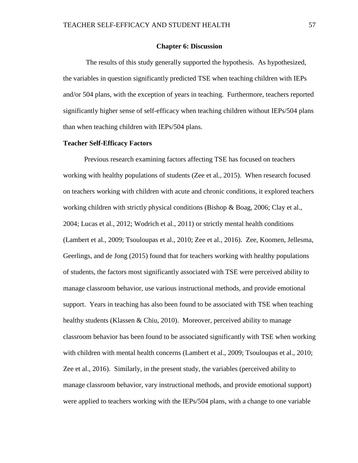#### **Chapter 6: Discussion**

The results of this study generally supported the hypothesis. As hypothesized, the variables in question significantly predicted TSE when teaching children with IEPs and/or 504 plans, with the exception of years in teaching. Furthermore, teachers reported significantly higher sense of self-efficacy when teaching children without IEPs/504 plans than when teaching children with IEPs/504 plans.

### **Teacher Self-Efficacy Factors**

Previous research examining factors affecting TSE has focused on teachers working with healthy populations of students (Zee et al., 2015). When research focused on teachers working with children with acute and chronic conditions, it explored teachers working children with strictly physical conditions (Bishop & Boag, 2006; Clay et al., 2004; Lucas et al., 2012; Wodrich et al., 2011) or strictly mental health conditions (Lambert et al., 2009; Tsouloupas et al., 2010; Zee et al., 2016). Zee, Koomen, Jellesma, Geerlings, and de Jong (2015) found that for teachers working with healthy populations of students, the factors most significantly associated with TSE were perceived ability to manage classroom behavior, use various instructional methods, and provide emotional support. Years in teaching has also been found to be associated with TSE when teaching healthy students (Klassen & Chiu, 2010). Moreover, perceived ability to manage classroom behavior has been found to be associated significantly with TSE when working with children with mental health concerns (Lambert et al., 2009; Tsouloupas et al., 2010; Zee et al., 2016). Similarly, in the present study, the variables (perceived ability to manage classroom behavior, vary instructional methods, and provide emotional support) were applied to teachers working with the IEPs/504 plans, with a change to one variable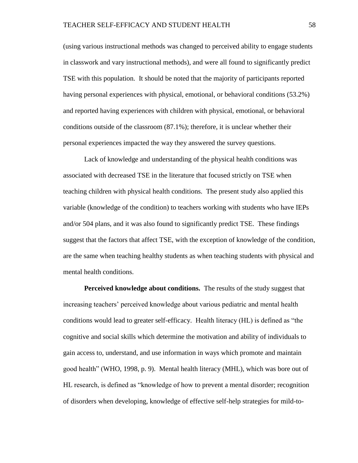(using various instructional methods was changed to perceived ability to engage students in classwork and vary instructional methods), and were all found to significantly predict TSE with this population. It should be noted that the majority of participants reported having personal experiences with physical, emotional, or behavioral conditions (53.2%) and reported having experiences with children with physical, emotional, or behavioral conditions outside of the classroom (87.1%); therefore, it is unclear whether their personal experiences impacted the way they answered the survey questions.

Lack of knowledge and understanding of the physical health conditions was associated with decreased TSE in the literature that focused strictly on TSE when teaching children with physical health conditions. The present study also applied this variable (knowledge of the condition) to teachers working with students who have IEPs and/or 504 plans, and it was also found to significantly predict TSE. These findings suggest that the factors that affect TSE, with the exception of knowledge of the condition, are the same when teaching healthy students as when teaching students with physical and mental health conditions.

**Perceived knowledge about conditions.** The results of the study suggest that increasing teachers' perceived knowledge about various pediatric and mental health conditions would lead to greater self-efficacy. Health literacy (HL) is defined as "the cognitive and social skills which determine the motivation and ability of individuals to gain access to, understand, and use information in ways which promote and maintain good health" (WHO, 1998, p. 9). Mental health literacy (MHL), which was bore out of HL research, is defined as "knowledge of how to prevent a mental disorder; recognition of disorders when developing, knowledge of effective self-help strategies for mild-to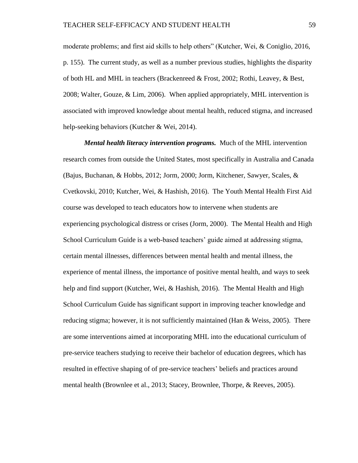moderate problems; and first aid skills to help others" (Kutcher, Wei, & Coniglio, 2016, p. 155). The current study, as well as a number previous studies, highlights the disparity of both HL and MHL in teachers (Brackenreed & Frost, 2002; Rothi, Leavey, & Best, 2008; Walter, Gouze, & Lim, 2006). When applied appropriately, MHL intervention is associated with improved knowledge about mental health, reduced stigma, and increased help-seeking behaviors (Kutcher & Wei, 2014).

*Mental health literacy intervention programs.* Much of the MHL intervention research comes from outside the United States, most specifically in Australia and Canada (Bajus, Buchanan, & Hobbs, 2012; Jorm, 2000; Jorm, Kitchener, Sawyer, Scales, & Cvetkovski, 2010; Kutcher, Wei, & Hashish, 2016). The Youth Mental Health First Aid course was developed to teach educators how to intervene when students are experiencing psychological distress or crises (Jorm, 2000). The Mental Health and High School Curriculum Guide is a web-based teachers' guide aimed at addressing stigma, certain mental illnesses, differences between mental health and mental illness, the experience of mental illness, the importance of positive mental health, and ways to seek help and find support (Kutcher, Wei, & Hashish, 2016). The Mental Health and High School Curriculum Guide has significant support in improving teacher knowledge and reducing stigma; however, it is not sufficiently maintained (Han & Weiss, 2005). There are some interventions aimed at incorporating MHL into the educational curriculum of pre-service teachers studying to receive their bachelor of education degrees, which has resulted in effective shaping of of pre-service teachers' beliefs and practices around mental health (Brownlee et al., 2013; Stacey, Brownlee, Thorpe, & Reeves, 2005).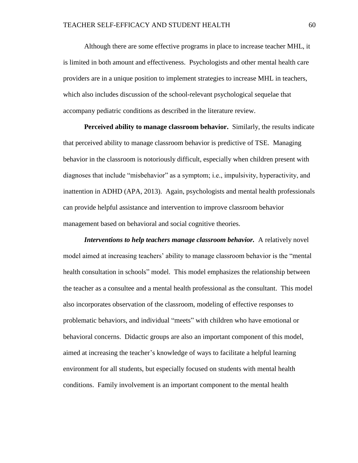Although there are some effective programs in place to increase teacher MHL, it is limited in both amount and effectiveness. Psychologists and other mental health care providers are in a unique position to implement strategies to increase MHL in teachers, which also includes discussion of the school-relevant psychological sequelae that accompany pediatric conditions as described in the literature review.

**Perceived ability to manage classroom behavior.** Similarly, the results indicate that perceived ability to manage classroom behavior is predictive of TSE. Managing behavior in the classroom is notoriously difficult, especially when children present with diagnoses that include "misbehavior" as a symptom; i.e., impulsivity, hyperactivity, and inattention in ADHD (APA, 2013). Again, psychologists and mental health professionals can provide helpful assistance and intervention to improve classroom behavior management based on behavioral and social cognitive theories.

*Interventions to help teachers manage classroom behavior.* A relatively novel model aimed at increasing teachers' ability to manage classroom behavior is the "mental health consultation in schools" model. This model emphasizes the relationship between the teacher as a consultee and a mental health professional as the consultant. This model also incorporates observation of the classroom, modeling of effective responses to problematic behaviors, and individual "meets" with children who have emotional or behavioral concerns. Didactic groups are also an important component of this model, aimed at increasing the teacher's knowledge of ways to facilitate a helpful learning environment for all students, but especially focused on students with mental health conditions. Family involvement is an important component to the mental health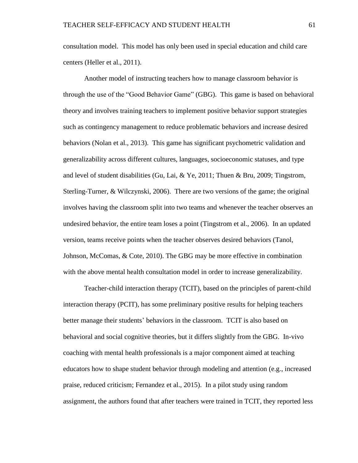consultation model. This model has only been used in special education and child care centers (Heller et al., 2011).

Another model of instructing teachers how to manage classroom behavior is through the use of the "Good Behavior Game" (GBG). This game is based on behavioral theory and involves training teachers to implement positive behavior support strategies such as contingency management to reduce problematic behaviors and increase desired behaviors (Nolan et al., 2013). This game has significant psychometric validation and generalizability across different cultures, languages, socioeconomic statuses, and type and level of student disabilities (Gu, Lai, & Ye, 2011; Thuen & Bru, 2009; Tingstrom, Sterling-Turner, & Wilczynski, 2006). There are two versions of the game; the original involves having the classroom split into two teams and whenever the teacher observes an undesired behavior, the entire team loses a point (Tingstrom et al., 2006). In an updated version, teams receive points when the teacher observes desired behaviors (Tanol, Johnson, McComas, & Cote, 2010). The GBG may be more effective in combination with the above mental health consultation model in order to increase generalizability.

Teacher-child interaction therapy (TCIT), based on the principles of parent-child interaction therapy (PCIT), has some preliminary positive results for helping teachers better manage their students' behaviors in the classroom. TCIT is also based on behavioral and social cognitive theories, but it differs slightly from the GBG. In-vivo coaching with mental health professionals is a major component aimed at teaching educators how to shape student behavior through modeling and attention (e.g., increased praise, reduced criticism; Fernandez et al., 2015). In a pilot study using random assignment, the authors found that after teachers were trained in TCIT, they reported less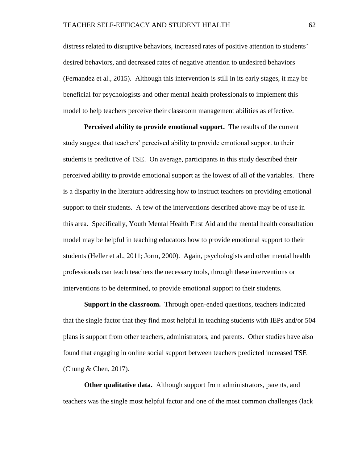distress related to disruptive behaviors, increased rates of positive attention to students' desired behaviors, and decreased rates of negative attention to undesired behaviors (Fernandez et al., 2015). Although this intervention is still in its early stages, it may be beneficial for psychologists and other mental health professionals to implement this model to help teachers perceive their classroom management abilities as effective.

**Perceived ability to provide emotional support.** The results of the current study suggest that teachers' perceived ability to provide emotional support to their students is predictive of TSE. On average, participants in this study described their perceived ability to provide emotional support as the lowest of all of the variables. There is a disparity in the literature addressing how to instruct teachers on providing emotional support to their students. A few of the interventions described above may be of use in this area. Specifically, Youth Mental Health First Aid and the mental health consultation model may be helpful in teaching educators how to provide emotional support to their students (Heller et al., 2011; Jorm, 2000). Again, psychologists and other mental health professionals can teach teachers the necessary tools, through these interventions or interventions to be determined, to provide emotional support to their students.

**Support in the classroom.** Through open-ended questions, teachers indicated that the single factor that they find most helpful in teaching students with IEPs and/or 504 plans is support from other teachers, administrators, and parents. Other studies have also found that engaging in online social support between teachers predicted increased TSE (Chung & Chen, 2017).

**Other qualitative data.** Although support from administrators, parents, and teachers was the single most helpful factor and one of the most common challenges (lack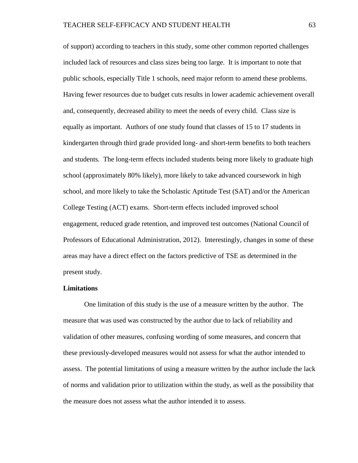of support) according to teachers in this study, some other common reported challenges included lack of resources and class sizes being too large. It is important to note that public schools, especially Title 1 schools, need major reform to amend these problems. Having fewer resources due to budget cuts results in lower academic achievement overall and, consequently, decreased ability to meet the needs of every child. Class size is equally as important. Authors of one study found that classes of 15 to 17 students in kindergarten through third grade provided long- and short-term benefits to both teachers and students. The long-term effects included students being more likely to graduate high school (approximately 80% likely), more likely to take advanced coursework in high school, and more likely to take the Scholastic Aptitude Test (SAT) and/or the American College Testing (ACT) exams. Short-term effects included improved school engagement, reduced grade retention, and improved test outcomes (National Council of Professors of Educational Administration, 2012). Interestingly, changes in some of these areas may have a direct effect on the factors predictive of TSE as determined in the present study.

## **Limitations**

One limitation of this study is the use of a measure written by the author. The measure that was used was constructed by the author due to lack of reliability and validation of other measures, confusing wording of some measures, and concern that these previously-developed measures would not assess for what the author intended to assess. The potential limitations of using a measure written by the author include the lack of norms and validation prior to utilization within the study, as well as the possibility that the measure does not assess what the author intended it to assess.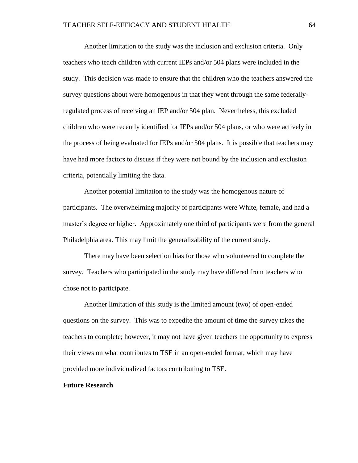Another limitation to the study was the inclusion and exclusion criteria. Only teachers who teach children with current IEPs and/or 504 plans were included in the study. This decision was made to ensure that the children who the teachers answered the survey questions about were homogenous in that they went through the same federallyregulated process of receiving an IEP and/or 504 plan. Nevertheless, this excluded children who were recently identified for IEPs and/or 504 plans, or who were actively in the process of being evaluated for IEPs and/or 504 plans. It is possible that teachers may have had more factors to discuss if they were not bound by the inclusion and exclusion criteria, potentially limiting the data.

Another potential limitation to the study was the homogenous nature of participants. The overwhelming majority of participants were White, female, and had a master's degree or higher. Approximately one third of participants were from the general Philadelphia area. This may limit the generalizability of the current study.

There may have been selection bias for those who volunteered to complete the survey. Teachers who participated in the study may have differed from teachers who chose not to participate.

Another limitation of this study is the limited amount (two) of open-ended questions on the survey. This was to expedite the amount of time the survey takes the teachers to complete; however, it may not have given teachers the opportunity to express their views on what contributes to TSE in an open-ended format, which may have provided more individualized factors contributing to TSE.

## **Future Research**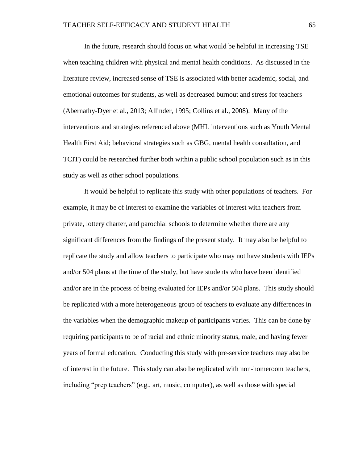In the future, research should focus on what would be helpful in increasing TSE when teaching children with physical and mental health conditions. As discussed in the literature review, increased sense of TSE is associated with better academic, social, and emotional outcomes for students, as well as decreased burnout and stress for teachers (Abernathy-Dyer et al., 2013; Allinder, 1995; Collins et al., 2008). Many of the interventions and strategies referenced above (MHL interventions such as Youth Mental Health First Aid; behavioral strategies such as GBG, mental health consultation, and TCIT) could be researched further both within a public school population such as in this study as well as other school populations.

It would be helpful to replicate this study with other populations of teachers. For example, it may be of interest to examine the variables of interest with teachers from private, lottery charter, and parochial schools to determine whether there are any significant differences from the findings of the present study. It may also be helpful to replicate the study and allow teachers to participate who may not have students with IEPs and/or 504 plans at the time of the study, but have students who have been identified and/or are in the process of being evaluated for IEPs and/or 504 plans. This study should be replicated with a more heterogeneous group of teachers to evaluate any differences in the variables when the demographic makeup of participants varies. This can be done by requiring participants to be of racial and ethnic minority status, male, and having fewer years of formal education. Conducting this study with pre-service teachers may also be of interest in the future. This study can also be replicated with non-homeroom teachers, including "prep teachers" (e.g., art, music, computer), as well as those with special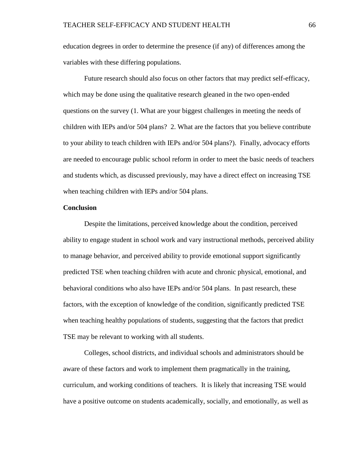education degrees in order to determine the presence (if any) of differences among the variables with these differing populations.

Future research should also focus on other factors that may predict self-efficacy, which may be done using the qualitative research gleaned in the two open-ended questions on the survey (1. What are your biggest challenges in meeting the needs of children with IEPs and/or 504 plans? 2. What are the factors that you believe contribute to your ability to teach children with IEPs and/or 504 plans?). Finally, advocacy efforts are needed to encourage public school reform in order to meet the basic needs of teachers and students which, as discussed previously, may have a direct effect on increasing TSE when teaching children with IEPs and/or 504 plans.

## **Conclusion**

Despite the limitations, perceived knowledge about the condition, perceived ability to engage student in school work and vary instructional methods, perceived ability to manage behavior, and perceived ability to provide emotional support significantly predicted TSE when teaching children with acute and chronic physical, emotional, and behavioral conditions who also have IEPs and/or 504 plans. In past research, these factors, with the exception of knowledge of the condition, significantly predicted TSE when teaching healthy populations of students, suggesting that the factors that predict TSE may be relevant to working with all students.

Colleges, school districts, and individual schools and administrators should be aware of these factors and work to implement them pragmatically in the training, curriculum, and working conditions of teachers. It is likely that increasing TSE would have a positive outcome on students academically, socially, and emotionally, as well as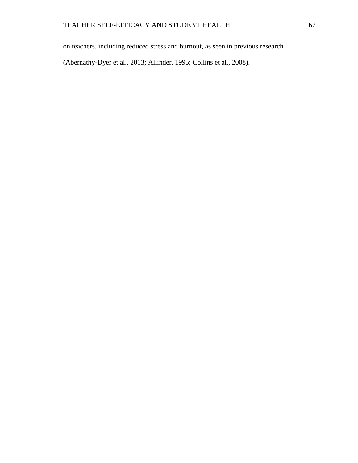on teachers, including reduced stress and burnout, as seen in previous research

(Abernathy-Dyer et al., 2013; Allinder, 1995; Collins et al., 2008).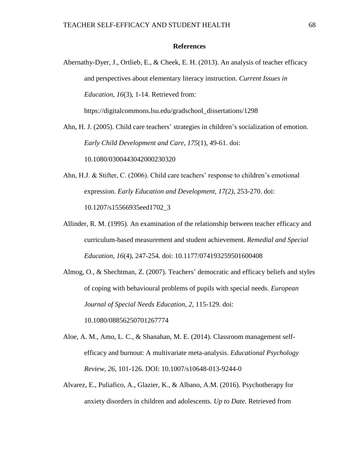## **References**

Abernathy-Dyer, J., Ortlieb, E., & Cheek, E. H. (2013). An analysis of teacher efficacy and perspectives about elementary literacy instruction. *Current Issues in Education, 16*(3), 1-14. Retrieved from: https://digitalcommons.lsu.edu/gradschool\_dissertations/1298

Ahn, H. J. (2005). Child care teachers' strategies in children's socialization of emotion. *Early Child Development and Care, 175*(1), 49-61. doi:

10.1080/0300443042000230320

Ahn, H.J. & Stifter, C. (2006). Child care teachers' response to children's emotional expression. *Early Education and Development, 17(2)*, 253-270. doi: 10.1207/s15566935eed1702\_3

Allinder, R. M. (1995). An examination of the relationship between teacher efficacy and curriculum-based measurement and student achievement. *Remedial and Special Education, 16*(4), 247-254. doi: 10.1177/074193259501600408

Almog, O., & Shechtman, Z. (2007). Teachers' democratic and efficacy beliefs and styles of coping with behavioural problems of pupils with special needs. *European Journal of Special Needs Education, 2,* 115-129. doi: 10.1080/08856250701267774

Aloe, A. M., Amo, L. C., & Shanahan, M. E. (2014). Classroom management selfefficacy and burnout: A multivariate meta-analysis. *Educational Psychology Review, 26*, 101-126. DOI: 10.1007/s10648-013-9244-0

Alvarez, E., Puliafico, A., Glazier, K., & Albano, A.M. (2016). Psychotherapy for anxiety disorders in children and adolescents*. Up to Date.* Retrieved from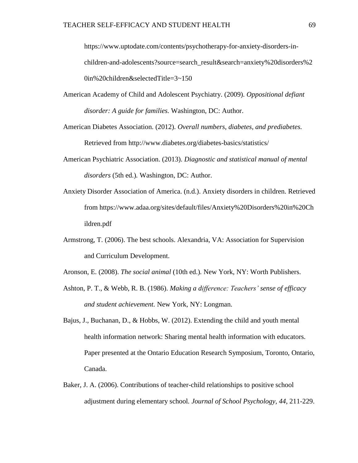https://www.uptodate.com/contents/psychotherapy-for-anxiety-disorders-inchildren-and-adolescents?source=search\_result&search=anxiety%20disorders%2 0in%20children&selectedTitle=3~150

- American Academy of Child and Adolescent Psychiatry. (2009). *Oppositional defiant disorder: A guide for families.* Washington, DC: Author.
- American Diabetes Association. (2012). *Overall numbers, diabetes, and prediabetes.* Retrieved from http://www.diabetes.org/diabetes-basics/statistics/
- American Psychiatric Association. (2013). *Diagnostic and statistical manual of mental disorders* (5th ed.)*.* Washington, DC: Author.
- Anxiety Disorder Association of America. (n.d.). Anxiety disorders in children. Retrieved from https://www.adaa.org/sites/default/files/Anxiety%20Disorders%20in%20Ch ildren.pdf
- Armstrong, T. (2006). The best schools. Alexandria, VA: Association for Supervision and Curriculum Development.
- Aronson, E. (2008). *The social animal* (10th ed.)*.* New York, NY: Worth Publishers.
- Ashton, P. T., & Webb, R. B. (1986). *Making a difference: Teachers' sense of efficacy and student achievement.* New York, NY: Longman.
- Bajus, J., Buchanan, D., & Hobbs, W. (2012). Extending the child and youth mental health information network: Sharing mental health information with educators. Paper presented at the Ontario Education Research Symposium, Toronto, Ontario, Canada.
- Baker, J. A. (2006). Contributions of teacher-child relationships to positive school adjustment during elementary school*. Journal of School Psychology, 44*, 211-229.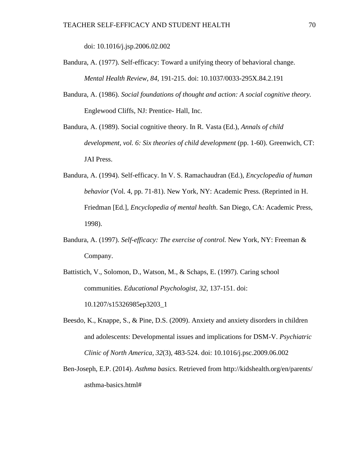doi: 10.1016/j.jsp.2006.02.002

- Bandura, A. (1977). Self-efficacy: Toward a unifying theory of behavioral change. *Mental Health Review, 84,* 191-215. doi: 10.1037/0033-295X.84.2.191
- Bandura, A. (1986). *Social foundations of thought and action: A social cognitive theory.* Englewood Cliffs, NJ: Prentice- Hall, Inc.
- Bandura, A. (1989). Social cognitive theory. In R. Vasta (Ed.), *Annals of child development, vol. 6: Six theories of child development* (pp. 1-60). Greenwich, CT: JAI Press.
- Bandura, A. (1994). Self-efficacy. In V. S. Ramachaudran (Ed.), *Encyclopedia of human behavior* (Vol. 4, pp. 71-81). New York, NY: Academic Press. (Reprinted in H. Friedman [Ed.], *Encyclopedia of mental health*. San Diego, CA: Academic Press, 1998).
- Bandura, A. (1997). *Self-efficacy: The exercise of control.* New York, NY: Freeman & Company.
- Battistich, V., Solomon, D., Watson, M., & Schaps, E. (1997). Caring school communities. *Educational Psychologist, 32,* 137-151. doi: 10.1207/s15326985ep3203\_1
- Beesdo, K., Knappe, S., & Pine, D.S. (2009). Anxiety and anxiety disorders in children and adolescents: Developmental issues and implications for DSM-V. *Psychiatric Clinic of North America, 32*(3), 483-524. doi: 10.1016/j.psc.2009.06.002
- Ben-Joseph, E.P. (2014). *Asthma basics.* Retrieved from http://kidshealth.org/en/parents/ asthma-basics.html#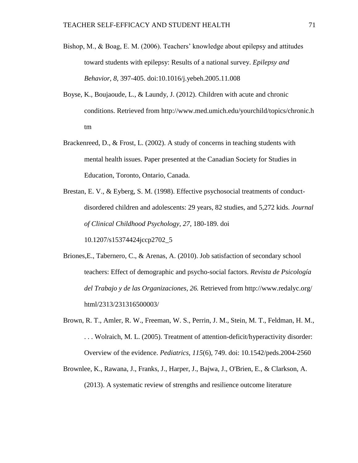- Bishop, M., & Boag, E. M. (2006). Teachers' knowledge about epilepsy and attitudes toward students with epilepsy: Results of a national survey. *Epilepsy and Behavior*, *8*, 397-405. doi:10.1016/j.yebeh.2005.11.008
- Boyse, K., Boujaoude, L., & Laundy, J. (2012). Children with acute and chronic conditions. Retrieved from http://www.med.umich.edu/yourchild/topics/chronic.h tm
- Brackenreed, D., & Frost, L. (2002). A study of concerns in teaching students with mental health issues. Paper presented at the Canadian Society for Studies in Education, Toronto, Ontario, Canada.
- Brestan, E. V., & Eyberg, S. M. (1998). Effective psychosocial treatments of conductdisordered children and adolescents: 29 years, 82 studies, and 5,272 kids. *Journal of Clinical Childhood Psychology, 27*, 180-189. doi

10.1207/s15374424jccp2702\_5

- Briones,E., Tabernero, C., & Arenas, A. (2010). Job satisfaction of secondary school teachers: Effect of demographic and psycho-social factors. *Revista de Psicología del Trabajo y de las Organizaciones, 26.* Retrieved from http://www.redalyc.org/ html/2313/231316500003/
- Brown, R. T., Amler, R. W., Freeman, W. S., Perrin, J. M., Stein, M. T., Feldman, H. M., . . . Wolraich, M. L. (2005). Treatment of attention-deficit/hyperactivity disorder: Overview of the evidence. *Pediatrics, 115*(6), 749. doi: 10.1542/peds.2004-2560
- Brownlee, K., Rawana, J., Franks, J., Harper, J., Bajwa, J., O'Brien, E., & Clarkson, A. (2013). A systematic review of strengths and resilience outcome literature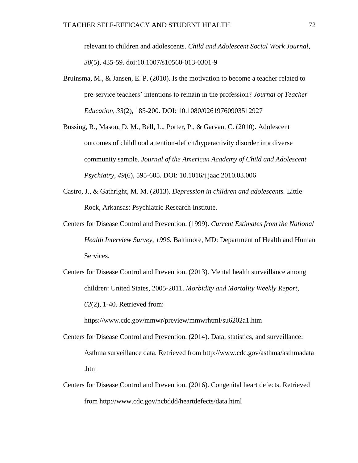relevant to children and adolescents. *Child and Adolescent Social Work Journal, 30*(5), 435-59. doi:10.1007/s10560-013-0301-9

- Bruinsma, M., & Jansen, E. P. (2010). Is the motivation to become a teacher related to pre-service teachers' intentions to remain in the profession? *Journal of Teacher Education, 33*(2), 185-200. DOI: 10.1080/02619760903512927
- Bussing, R., Mason, D. M., Bell, L., Porter, P., & Garvan, C. (2010). Adolescent outcomes of childhood attention-deficit/hyperactivity disorder in a diverse community sample. *Journal of the American Academy of Child and Adolescent Psychiatry, 49*(6), 595-605. DOI: 10.1016/j.jaac.2010.03.006
- Castro, J., & Gathright, M. M. (2013). *Depression in children and adolescents.* Little Rock, Arkansas: Psychiatric Research Institute.
- Centers for Disease Control and Prevention. (1999). *Current Estimates from the National Health Interview Survey, 1996.* Baltimore, MD: Department of Health and Human Services.
- Centers for Disease Control and Prevention. (2013). Mental health surveillance among children: United States, 2005-2011. *Morbidity and Mortality Weekly Report, 62*(2), 1-40. Retrieved from:

https://www.cdc.gov/mmwr/preview/mmwrhtml/su6202a1.htm

- Centers for Disease Control and Prevention. (2014). Data, statistics, and surveillance: Asthma surveillance data*.* Retrieved from http://www.cdc.gov/asthma/asthmadata .htm
- Centers for Disease Control and Prevention. (2016). Congenital heart defects. Retrieved from http://www.cdc.gov/ncbddd/heartdefects/data.html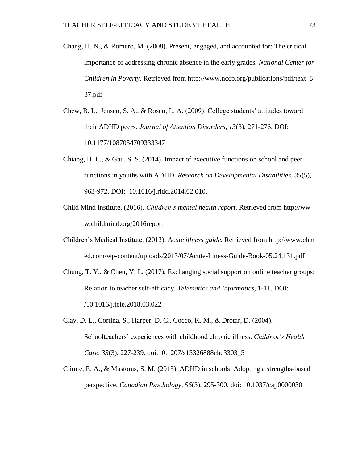- Chang, H. N., & Romero, M. (2008). Present, engaged, and accounted for: The critical importance of addressing chronic absence in the early grades*. National Center for Children in Poverty.* Retrieved from http://www.nccp.org/publications/pdf/text 8 37.pdf
- Chew, B. L., Jensen, S. A., & Rosen, L. A. (2009). College students' attitudes toward their ADHD peers. *Journal of Attention Disorders, 13*(3), 271-276. DOI: 10.1177/1087054709333347
- Chiang, H. L., & Gau, S. S. (2014). Impact of executive functions on school and peer functions in youths with ADHD. *Research on Developmental Disabilities, 35*(5), 963-972. DOI: 10.1016/j.ridd.2014.02.010.
- Child Mind Institute. (2016). *Children's mental health report.* Retrieved from http://ww w.childmind.org/2016report
- Children's Medical Institute. (2013). *Acute illness guide.* Retrieved from http://www.chm ed.com/wp-content/uploads/2013/07/Acute-Illness-Guide-Book-05.24.131.pdf
- Chung, T. Y., & Chen, Y. L. (2017). Exchanging social support on online teacher groups: Relation to teacher self-efficacy. *Telematics and Informatics,* 1-11. DOI: /10.1016/j.tele.2018.03.022
- Clay, D. L., Cortina, S., Harper, D. C., Cocco, K. M., & Drotar, D. (2004). Schoolteachers' experiences with childhood chronic illness. *Children's Health Care, 33*(3), 227-239. doi:10.1207/s15326888chc3303\_5
- Climie, E. A., & Mastoras, S. M. (2015). ADHD in schools: Adopting a strengths-based perspective. *Canadian Psychology, 56*(3), 295-300. doi: 10.1037/cap0000030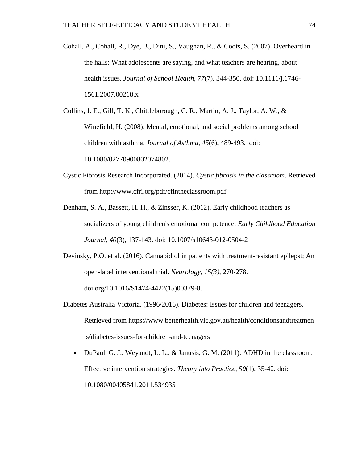- Cohall, A., Cohall, R., Dye, B., Dini, S., Vaughan, R., & Coots, S. (2007). Overheard in the halls: What adolescents are saying, and what teachers are hearing, about health issues. *Journal of School Health*, *77*(7), 344-350. doi: 10.1111/j.1746- 1561.2007.00218.x
- Collins, J. E., Gill, T. K., Chittleborough, C. R., Martin, A. J., Taylor, A. W., & Winefield, H. (2008). Mental, emotional, and social problems among school children with asthma. *Journal of Asthma, 45*(6), 489-493. doi: 10.1080/02770900802074802.
- Cystic Fibrosis Research Incorporated. (2014). *Cystic fibrosis in the classroom*. Retrieved from http://www.cfri.org/pdf/cfintheclassroom.pdf
- Denham, S. A., Bassett, H. H., & Zinsser, K. (2012). Early childhood teachers as socializers of young children's emotional competence. *Early Childhood Education Journal, 40*(3), 137-143. doi: 10.1007/s10643-012-0504-2
- Devinsky, P.O. et al. (2016). Cannabidiol in patients with treatment-resistant epilepst; An open-label interventional trial. *Neurology, 15(3)*, 270-278.

doi.org/10.1016/S1474-4422(15)00379-8.

- Diabetes Australia Victoria. (1996/2016). Diabetes: Issues for children and teenagers. Retrieved from https://www.betterhealth.vic.gov.au/health/conditionsandtreatmen ts/diabetes-issues-for-children-and-teenagers
	- DuPaul, G. J., Weyandt, L. L., & Janusis, G. M. (2011). ADHD in the classroom: Effective intervention strategies. *Theory into Practice, 50*(1), 35-42. doi: 10.1080/00405841.2011.534935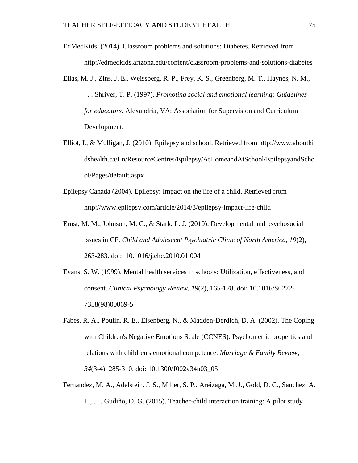- EdMedKids. (2014). Classroom problems and solutions: Diabetes. Retrieved from http://edmedkids.arizona.edu/content/classroom-problems-and-solutions-diabetes
- Elias, M. J., Zins, J. E., Weissberg, R. P., Frey, K. S., Greenberg, M. T., Haynes, N. M., . . . Shriver, T. P. (1997). *Promoting social and emotional learning: Guidelines for educators.* Alexandria, VA: Association for Supervision and Curriculum Development.
- Elliot, I., & Mulligan, J. (2010). Epilepsy and school. Retrieved from http://www.aboutki dshealth.ca/En/ResourceCentres/Epilepsy/AtHomeandAtSchool/EpilepsyandScho ol/Pages/default.aspx
- Epilepsy Canada (2004). Epilepsy: Impact on the life of a child. Retrieved from http://www.epilepsy.com/article/2014/3/epilepsy-impact-life-child
- Ernst, M. M., Johnson, M. C., & Stark, L. J. (2010). Developmental and psychosocial issues in CF. *Child and Adolescent Psychiatric Clinic of North America, 19*(2), 263-283. doi: 10.1016/j.chc.2010.01.004
- Evans, S. W. (1999). Mental health services in schools: Utilization, effectiveness, and consent. *Clinical Psychology Review, 19*(2), 165-178. doi: 10.1016/S0272- 7358(98)00069-5
- Fabes, R. A., Poulin, R. E., Eisenberg, N., & Madden-Derdich, D. A. (2002). The Coping with Children's Negative Emotions Scale (CCNES): Psychometric properties and relations with children's emotional competence. *Marriage & Family Review, 34*(3-4), 285-310. doi: 10.1300/J002v34n03\_05
- Fernandez, M. A., Adelstein, J. S., Miller, S. P., Areizaga, M .J., Gold, D. C., Sanchez, A. L., . . . Gudiño, O. G. (2015). Teacher-child interaction training: A pilot study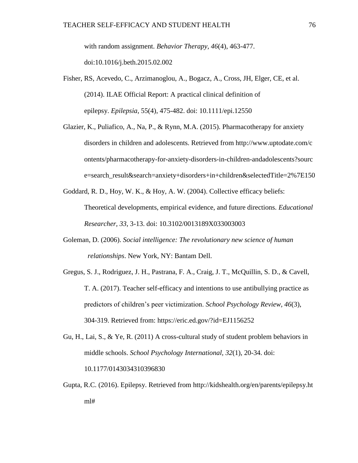with random assignment. *Behavior Therapy, 46*(4), 463-477. doi:10.1016/j.beth.2015.02.002

- Fisher, RS, Acevedo, C., Arzimanoglou, A., Bogacz, A., Cross, JH, Elger, CE, et al. (2014). ILAE Official Report: A practical clinical definition of epilepsy. *Epilepsia*, 55(4), 475-482. doi: 10.1111/epi.12550
- Glazier, K., Puliafico, A., Na, P., & Rynn, M.A. (2015). Pharmacotherapy for anxiety disorders in children and adolescents. Retrieved from http://www.uptodate.com/c ontents/pharmacotherapy-for-anxiety-disorders-in-children-andadolescents?sourc e=search\_result&search=anxiety+disorders+in+children&selectedTitle=2%7E150
- Goddard, R. D., Hoy, W. K., & Hoy, A. W. (2004). Collective efficacy beliefs: Theoretical developments, empirical evidence, and future directions. *Educational Researcher, 33*, 3-13. doi: 10.3102/0013189X033003003
- Goleman, D. (2006). *Social intelligence: The revolutionary new science of human relationships*. New York, NY: Bantam Dell.
- Gregus, S. J., Rodriguez, J. H., Pastrana, F. A., Craig, J. T., McQuillin, S. D., & Cavell, T. A. (2017). Teacher self-efficacy and intentions to use antibullying practice as predictors of children's peer victimization. *School Psychology Review, 46*(3), 304-319. Retrieved from: https://eric.ed.gov/?id=EJ1156252
- Gu, H., Lai, S., & Ye, R. (2011) A cross-cultural study of student problem behaviors in middle schools. *School Psychology International, 32*(1), 20-34. doi: 10.1177/0143034310396830
- Gupta, R.C. (2016). Epilepsy. Retrieved from http://kidshealth.org/en/parents/epilepsy.ht ml#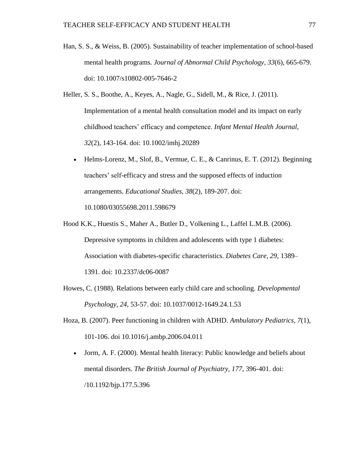- Han, S. S., & Weiss, B. (2005). Sustainability of teacher implementation of school-based mental health programs. *Journal of Abnormal Child Psychology, 33*(6), 665-679. doi: 10.1007/s10802-005-7646-2
- Heller, S. S., Boothe, A., Keyes, A., Nagle, G., Sidell, M., & Rice, J. (2011). Implementation of a mental health consultation model and its impact on early childhood teachers' efficacy and competence. *Infant Mental Health Journal, 32*(2), 143-164. doi: 10.1002/imhj.20289
	- Helms-Lorenz, M., Slof, B., Vermue, C. E., & Canrinus, E. T. (2012). Beginning teachers' self-efficacy and stress and the supposed effects of induction arrangements. *Educational Studies, 38*(2), 189-207. doi:

10.1080/03055698.2011.598679

- Hood K.K., Huestis S., Maher A., Butler D., Volkening L., Laffel L.M.B. (2006). Depressive symptoms in children and adolescents with type 1 diabetes: Association with diabetes-specific characteristics. *Diabetes Care, 29,* 1389– 1391. doi: 10.2337/dc06-0087
- Howes, C. (1988). Relations between early child care and schooling. *Developmental Psychology, 24,* 53-57. doi: 10.1037/0012-1649.24.1.53
- Hoza, B. (2007). Peer functioning in children with ADHD. *Ambulatory Pediatrics, 7*(1), 101-106. doi 10.1016/j.ambp.2006.04.011
	- Jorm, A. F. (2000). Mental health literacy: Public knowledge and beliefs about mental disorders. *The British Journal of Psychiatry, 177,* 396-401. doi: /10.1192/bjp.177.5.396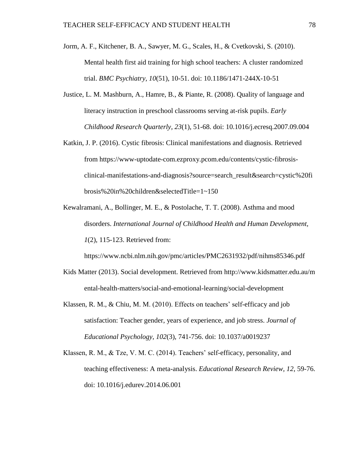- Jorm, A. F., Kitchener, B. A., Sawyer, M. G., Scales, H., & Cvetkovski, S. (2010). Mental health first aid training for high school teachers: A cluster randomized trial. *BMC Psychiatry, 10*(51), 10-51. doi: 10.1186/1471-244X-10-51
- Justice, L. M. Mashburn, A., Hamre, B., & Piante, R. (2008). Quality of language and literacy instruction in preschool classrooms serving at-risk pupils. *Early Childhood Research Quarterly, 23*(1), 51-68. doi: 10.1016/j.ecresq.2007.09.004
- Katkin, J. P. (2016). Cystic fibrosis: Clinical manifestations and diagnosis. Retrieved from https://www-uptodate-com.ezproxy.pcom.edu/contents/cystic-fibrosisclinical-manifestations-and-diagnosis?source=search\_result&search=cystic%20fi brosis%20in%20children&selectedTitle=1~150
- Kewalramani, A., Bollinger, M. E., & Postolache, T. T. (2008). Asthma and mood disorders. *International Journal of Childhood Health and Human Development, 1*(2), 115-123. Retrieved from:

https://www.ncbi.nlm.nih.gov/pmc/articles/PMC2631932/pdf/nihms85346.pdf

- Kids Matter (2013). Social development. Retrieved from http://www.kidsmatter.edu.au/m ental-health-matters/social-and-emotional-learning/social-development
- Klassen, R. M., & Chiu, M. M. (2010). Effects on teachers' self-efficacy and job satisfaction: Teacher gender, years of experience, and job stress. *Journal of Educational Psychology, 102*(3), 741-756. doi: 10.1037/a0019237
- Klassen, R. M., & Tze, V. M. C. (2014). Teachers' self-efficacy, personality, and teaching effectiveness: A meta-analysis. *Educational Research Review, 12*, 59-76. doi: 10.1016/j.edurev.2014.06.001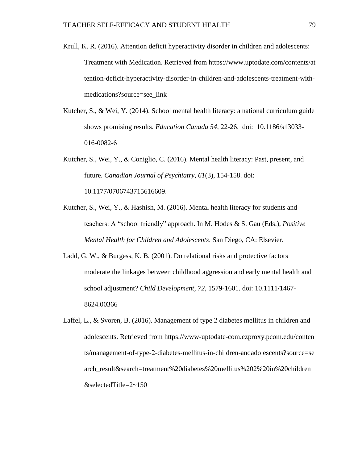- Krull, K. R. (2016). Attention deficit hyperactivity disorder in children and adolescents: Treatment with Medication. Retrieved from https://www.uptodate.com/contents/at tention-deficit-hyperactivity-disorder-in-children-and-adolescents-treatment-withmedications?source=see\_link
- Kutcher, S., & Wei, Y. (2014). School mental health literacy: a national curriculum guide shows promising results. *Education Canada 54*, 22-26. doi: 10.1186/s13033- 016-0082-6
- Kutcher, S., Wei, Y., & Coniglio, C. (2016). Mental health literacy: Past, present, and future. *Canadian Journal of Psychiatry, 61*(3), 154-158. doi: 10.1177/0706743715616609.
- Kutcher, S., Wei, Y., & Hashish, M. (2016). Mental health literacy for students and teachers: A "school friendly" approach. In M. Hodes & S. Gau (Eds.), *Positive Mental Health for Children and Adolescents*. San Diego, CA: Elsevier.
- Ladd, G. W., & Burgess, K. B. (2001). Do relational risks and protective factors moderate the linkages between childhood aggression and early mental health and school adjustment? *Child Development, 72*, 1579-1601. doi: 10.1111/1467- 8624.00366
- Laffel, L., & Svoren, B. (2016). Management of type 2 diabetes mellitus in children and adolescents. Retrieved from https://www-uptodate-com.ezproxy.pcom.edu/conten ts/management-of-type-2-diabetes-mellitus-in-children-andadolescents?source=se arch\_result&search=treatment%20diabetes%20mellitus%202%20in%20children &selectedTitle=2~150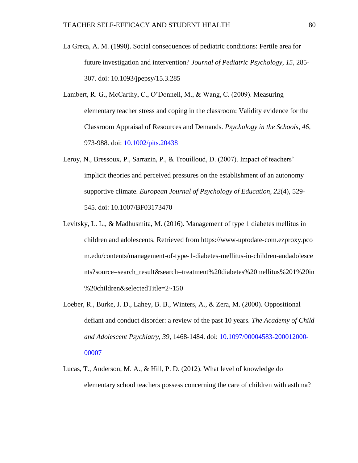- La Greca, A. M. (1990). Social consequences of pediatric conditions: Fertile area for future investigation and intervention? *Journal of Pediatric Psychology, 15,* 285- 307. doi: 10.1093/jpepsy/15.3.285
- Lambert, R. G., McCarthy, C., O'Donnell, M., & Wang, C. (2009). Measuring elementary teacher stress and coping in the classroom: Validity evidence for the Classroom Appraisal of Resources and Demands. *Psychology in the Schools, 46*, 973-988. doi: [10.1002/pits.20438](https://doi.org/10.1002/pits.20438)
- Leroy, N., Bressoux, P., Sarrazin, P., & Trouilloud, D. (2007). Impact of teachers' implicit theories and perceived pressures on the establishment of an autonomy supportive climate. *European Journal of Psychology of Education, 22*(4), 529- 545. doi: 10.1007/BF03173470
- Levitsky, L. L., & Madhusmita, M. (2016). Management of type 1 diabetes mellitus in children and adolescents. Retrieved from https://www-uptodate-com.ezproxy.pco m.edu/contents/management-of-type-1-diabetes-mellitus-in-children-andadolesce nts?source=search\_result&search=treatment%20diabetes%20mellitus%201%20in %20children&selectedTitle=2~150
- Loeber, R., Burke, J. D., Lahey, B. B., Winters, A., & Zera, M. (2000). Oppositional defiant and conduct disorder: a review of the past 10 years. *The Academy of Child and Adolescent Psychiatry, 39*, 1468-1484. doi: [10.1097/00004583-200012000-](https://doi.org/10.1097/00004583-200012000-00007) [00007](https://doi.org/10.1097/00004583-200012000-00007)
- Lucas, T., Anderson, M. A., & Hill, P. D. (2012). What level of knowledge do elementary school teachers possess concerning the care of children with asthma?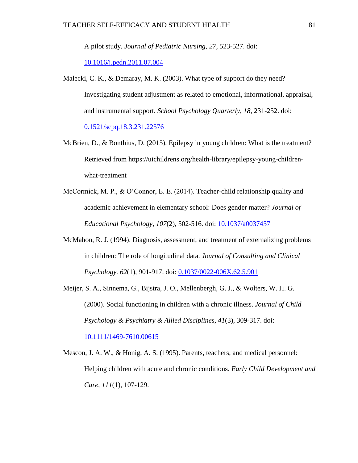A pilot study. *Journal of Pediatric Nursing*, *27,* 523-527. doi:

[10.1016/j.pedn.2011.07.004](https://doi.org/10.1016/j.pedn.2011.07.004)

- Malecki, C. K., & Demaray, M. K. (2003). What type of support do they need? Investigating student adjustment as related to emotional, informational, appraisal, and instrumental support. *School Psychology Quarterly, 18*, 231-252. doi: [0.1521/scpq.18.3.231.22576](http://psycnet.apa.org/doi/10.1521/scpq.18.3.231.22576)
- McBrien, D., & Bonthius, D. (2015). Epilepsy in young children: What is the treatment? Retrieved from https://uichildrens.org/health-library/epilepsy-young-childrenwhat-treatment
- McCormick, M. P., & O'Connor, E. E. (2014). Teacher-child relationship quality and academic achievement in elementary school: Does gender matter? *Journal of Educational Psychology, 107*(2), 502-516*.* doi: [10.1037/a0037457](https://doi.org/10.1037/a0037457)
- McMahon, R. J. (1994). Diagnosis, assessment, and treatment of externalizing problems in children: The role of longitudinal data. *Journal of Consulting and Clinical Psychology. 62*(1), 901-917. doi: [0.1037/0022-006X.62.5.901](http://psycnet.apa.org/doi/10.1037/0022-006X.62.5.901)
- Meijer, S. A., Sinnema, G., Bijstra, J. O., Mellenbergh, G. J., & Wolters, W. H. G. (2000). Social functioning in children with a chronic illness. *Journal of Child Psychology & Psychiatry & Allied Disciplines*, *41*(3), 309-317. doi:

[10.1111/1469-7610.00615](https://doi.org/10.1111/1469-7610.00615)

Mescon, J. A. W., & Honig, A. S. (1995). Parents, teachers, and medical personnel: Helping children with acute and chronic conditions. *Early Child Development and Care, 111*(1), 107-129.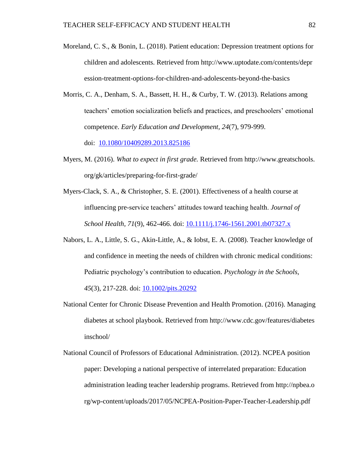- Moreland, C. S., & Bonin, L. (2018). Patient education: Depression treatment options for children and adolescents. Retrieved from http://www.uptodate.com/contents/depr ession-treatment-options-for-children-and-adolescents-beyond-the-basics
- Morris, C. A., Denham, S. A., Bassett, H. H., & Curby, T. W. (2013). Relations among teachers' emotion socialization beliefs and practices, and preschoolers' emotional competence. *Early Education and Development, 24*(7), 979-999.

doi: [10.1080/10409289.2013.825186](https://dx.doi.org/10.1080%2F10409289.2013.825186)

- Myers, M. (2016). *What to expect in first grade.* Retrieved from http://www.greatschools. org/gk/articles/preparing-for-first-grade/
- Myers-Clack, S. A., & Christopher, S. E. (2001). Effectiveness of a health course at influencing pre-service teachers' attitudes toward teaching health. *Journal of School Health, 71*(9), 462-466. doi: [10.1111/j.1746-1561.2001.tb07327.x](https://doi.org/10.1111/j.1746-1561.2001.tb07327.x)
- Nabors, L. A., Little, S. G., Akin-Little, A., & Iobst, E. A. (2008). Teacher knowledge of and confidence in meeting the needs of children with chronic medical conditions: Pediatric psychology's contribution to education. *Psychology in the Schools, 45*(3), 217-228. doi: [10.1002/pits.20292](https://doi.org/10.1002/pits.20292)
- National Center for Chronic Disease Prevention and Health Promotion. (2016). Managing diabetes at school playbook. Retrieved from http://www.cdc.gov/features/diabetes inschool/
- National Council of Professors of Educational Administration. (2012). NCPEA position paper: Developing a national perspective of interrelated preparation: Education administration leading teacher leadership programs. Retrieved from http://npbea.o rg/wp-content/uploads/2017/05/NCPEA-Position-Paper-Teacher-Leadership.pdf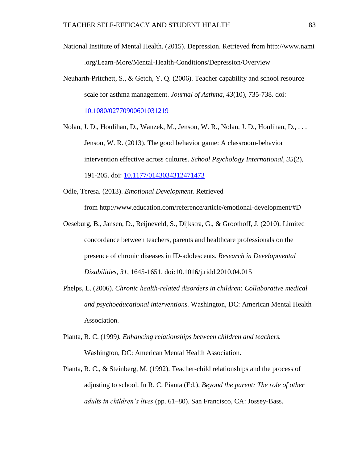- National Institute of Mental Health. (2015). Depression. Retrieved from http://www.nami .org/Learn-More/Mental-Health-Conditions/Depression/Overview
- Neuharth-Pritchett, S., & Getch, Y. Q. (2006). Teacher capability and school resource scale for asthma management. *Journal of Asthma, 43*(10), 735-738. doi: [10.1080/02770900601031219](https://doi.org/10.1080/02770900601031219)

Nolan, J. D., Houlihan, D., Wanzek, M., Jenson, W. R., Nolan, J. D., Houlihan, D., . . . Jenson, W. R. (2013). The good behavior game: A classroom-behavior intervention effective across cultures. *School Psychology International, 35*(2)*,* 

191-205. doi: [10.1177/0143034312471473](https://doi.org/10.1177/0143034312471473)

- Odle, Teresa. (2013). *Emotional Development.* Retrieved from http://www.education.com/reference/article/emotional-development/#D
- Oeseburg, B., Jansen, D., Reijneveld, S., Dijkstra, G., & Groothoff, J. (2010). Limited concordance between teachers, parents and healthcare professionals on the presence of chronic diseases in ID-adolescents. *Research in Developmental Disabilities*, *31,* 1645-1651. doi:10.1016/j.ridd.2010.04.015
- Phelps, L. (2006). *Chronic health-related disorders in children: Collaborative medical and psychoeducational interventions.* Washington, DC: American Mental Health Association.
- Pianta, R. C. (1999*). Enhancing relationships between children and teachers.* Washington, DC: American Mental Health Association.
- Pianta, R. C., & Steinberg, M. (1992). Teacher-child relationships and the process of adjusting to school. In R. C. Pianta (Ed.), *Beyond the parent: The role of other adults in children's lives* (pp. 61–80). San Francisco, CA: Jossey-Bass.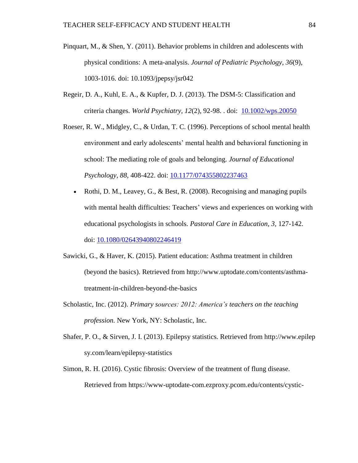- Pinquart, M., & Shen, Y. (2011). Behavior problems in children and adolescents with physical conditions: A meta-analysis. *Journal of Pediatric Psychology*, *36*(9), 1003-1016. doi: 10.1093/jpepsy/jsr042
- Regeir, D. A., Kuhl, E. A., & Kupfer, D. J. (2013). The DSM-5: Classification and criteria changes. *World Psychiatry, 12*(2), 92-98. . doi: [10.1002/wps.20050](https://dx.doi.org/10.1002%2Fwps.20050)
- Roeser, R. W., Midgley, C., & Urdan, T. C. (1996). Perceptions of school mental health environment and early adolescents' mental health and behavioral functioning in school: The mediating role of goals and belonging*. Journal of Educational Psychology, 88*, 408-422. doi: [10.1177/074355802237463](https://doi.org/10.1177/074355802237463)
	- Rothi, D. M., Leavey, G., & Best, R. (2008). Recognising and managing pupils with mental health difficulties: Teachers' views and experiences on working with educational psychologists in schools. *Pastoral Care in Education, 3,* 127-142. doi: [10.1080/02643940802246419](https://doi.org/10.1080/02643940802246419)
- Sawicki, G., & Haver, K. (2015). Patient education: Asthma treatment in children (beyond the basics). Retrieved from http://www.uptodate.com/contents/asthmatreatment-in-children-beyond-the-basics
- Scholastic, Inc. (2012). *Primary sources: 2012: America's teachers on the teaching profession.* New York, NY: Scholastic, Inc.
- Shafer, P. O., & Sirven, J. I. (2013). Epilepsy statistics. Retrieved from http://www.epilep sy.com/learn/epilepsy-statistics
- Simon, R. H. (2016). Cystic fibrosis: Overview of the treatment of flung disease. Retrieved from https://www-uptodate-com.ezproxy.pcom.edu/contents/cystic-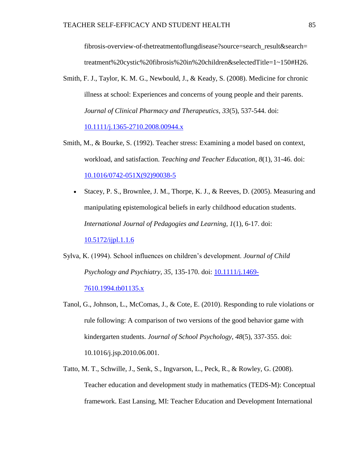fibrosis-overview-of-thetreatmentoflungdisease?source=search\_result&search= treatment%20cystic%20fibrosis%20in%20children&selectedTitle=1~150#H26.

Smith, F. J., Taylor, K. M. G., Newbould, J., & Keady, S. (2008). Medicine for chronic illness at school: Experiences and concerns of young people and their parents. *Journal of Clinical Pharmacy and Therapeutics, 33*(5), 537-544. doi:

[10.1111/j.1365-2710.2008.00944.x](https://doi.org/10.1111/j.1365-2710.2008.00944.x)

- Smith, M., & Bourke, S. (1992). Teacher stress: Examining a model based on context, workload, and satisfaction. *Teaching and Teacher Education*, *8*(1), 31-46. doi: [10.1016/0742-051X\(92\)90038-5](https://doi.org/10.1016/0742-051X(92)90038-5)
	- Stacey, P. S., Brownlee, J. M., Thorpe, K. J., & Reeves, D. (2005). Measuring and manipulating epistemological beliefs in early childhood education students. *International Journal of Pedagogies and Learning, 1*(1), 6-17. doi:

[10.5172/ijpl.1.1.6](https://doi.org/10.5172/ijpl.1.1.6)

- Sylva, K. (1994). School influences on children's development. *Journal of Child Psychology and Psychiatry, 35,* 135-170. doi: [10.1111/j.1469-](https://doi.org/10.1111/j.1469-7610.1994.tb01135.x) [7610.1994.tb01135.x](https://doi.org/10.1111/j.1469-7610.1994.tb01135.x)
- Tanol, G., Johnson, L., McComas, J., & Cote, E. (2010). Responding to rule violations or rule following: A comparison of two versions of the good behavior game with kindergarten students. *Journal of School Psychology, 48*(5), 337-355. doi: 10.1016/j.jsp.2010.06.001.
- Tatto, M. T., Schwille, J., Senk, S., Ingvarson, L., Peck, R., & Rowley, G. (2008). Teacher education and development study in mathematics (TEDS-M): Conceptual framework. East Lansing, MI: Teacher Education and Development International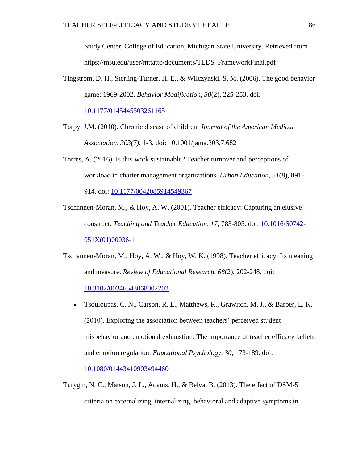Study Center, College of Education, Michigan State University. Retrieved from https://msu.edu/user/mttatto/documents/TEDS\_FrameworkFinal.pdf

Tingstrom, D. H., Sterling-Turner, H. E., & Wilczynski, S. M. (2006). The good behavior game: 1969-2002. *Behavior Modification, 30*(2), 225-253. doi:

[10.1177/0145445503261165](https://doi.org/10.1177/0145445503261165)

- Torpy, J.M. (2010). Chronic disease of children. *Journal of the American Medical Association, 303(7)*, 1-3. doi: 10.1001/jama.303.7.682
- Torres, A. (2016). Is this work sustainable? Teacher turnover and perceptions of workload in charter management organizations. *Urban Education*, *51*(8), 891- 914. doi: [10.1177/0042085914549367](https://doi.org/10.1177/0042085914549367)
- Tschannen-Moran, M., & Hoy, A. W. (2001). Teacher efficacy: Capturing an elusive construct. *Teaching and Teacher Education, 17,* 783-805. doi: [10.1016/S0742-](https://doi.org/10.1016/S0742-051X(01)00036-1) [051X\(01\)00036-1](https://doi.org/10.1016/S0742-051X(01)00036-1)
- Tschannen-Moran, M., Hoy, A. W., & Hoy, W. K. (1998). Teacher efficacy: Its meaning and measure. *Review of Educational Research, 68*(2), 202-248. doi: [10.3102/00346543068002202](https://doi.org/10.3102/00346543068002202)
	- Tsouloupas, C. N., Carson, R. L., Matthews, R., Grawitch, M. J., & Barber, L. K. (2010). Exploring the association between teachers' perceived student misbehavior and emotional exhaustion: The importance of teacher efficacy beliefs and emotion regulation. *Educational Psychology, 30*, 173-189. doi:

[10.1080/01443410903494460](https://doi.org/10.1080/01443410903494460)

Turygin, N. C., Matson, J. L., Adams, H., & Belva, B. (2013). The effect of DSM-5 criteria on externalizing, internalizing, behavioral and adaptive symptoms in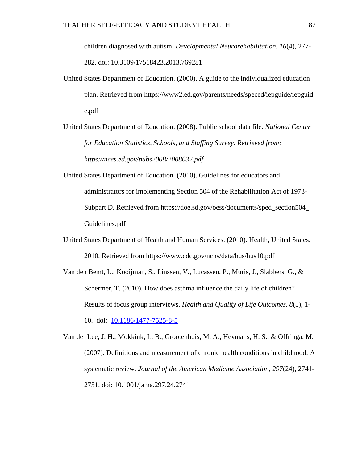children diagnosed with autism. *Developmental Neurorehabilitation. 16*(4), 277- 282. doi: 10.3109/17518423.2013.769281

- United States Department of Education. (2000). A guide to the individualized education plan. Retrieved from https://www2.ed.gov/parents/needs/speced/iepguide/iepguid e.pdf
- United States Department of Education. (2008). Public school data file. *National Center for Education Statistics, Schools, and Staffing Survey. Retrieved from: https://nces.ed.gov/pubs2008/2008032.pdf.*
- United States Department of Education. (2010). Guidelines for educators and administrators for implementing Section 504 of the Rehabilitation Act of 1973- Subpart D. Retrieved from https://doe.sd.gov/oess/documents/sped\_section504\_ Guidelines.pdf
- United States Department of Health and Human Services. (2010). Health, United States, 2010. Retrieved from https://www.cdc.gov/nchs/data/hus/hus10.pdf
- Van den Bemt, L., Kooijman, S., Linssen, V., Lucassen, P., Muris, J., Slabbers, G., & Schermer, T. (2010). How does asthma influence the daily life of children? Results of focus group interviews. *Health and Quality of Life Outcomes, 8*(5), 1- 10. doi: [10.1186/1477-7525-8-5](https://dx.doi.org/10.1186%2F1477-7525-8-5)

Van der Lee, J. H., Mokkink, L. B., Grootenhuis, M. A., Heymans, H. S., & Offringa, M. (2007). Definitions and measurement of chronic health conditions in childhood: A systematic review. *Journal of the American Medicine Association, 297*(24), 2741- 2751. doi: 10.1001/jama.297.24.2741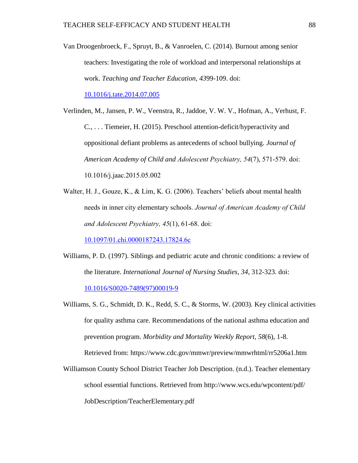Van Droogenbroeck, F., Spruyt, B., & Vanroelen, C. (2014). Burnout among senior teachers: Investigating the role of workload and interpersonal relationships at work. *Teaching and Teacher Education*, *43*99-109. doi:

[10.1016/j.tate.2014.07.005](https://doi.org/10.1016/j.tate.2014.07.005)

Verlinden, M., Jansen, P. W., Veenstra, R., Jaddoe, V. W. V., Hofman, A., Verhust, F. C., . . . Tiemeier, H. (2015). Preschool attention-deficit/hyperactivity and oppositional defiant problems as antecedents of school bullying. *Journal of American Academy of Child and Adolescent Psychiatry, 54*(7), 571-579. doi: 10.1016/j.jaac.2015.05.002

Walter, H. J., Gouze, K., & Lim, K. G. (2006). Teachers' beliefs about mental health needs in inner city elementary schools. *Journal of American Academy of Child and Adolescent Psychiatry, 45*(1), 61-68. doi:

[10.1097/01.chi.0000187243.17824.6c](https://doi.org/10.1097/01.chi.0000187243.17824.6c)

- Williams, P. D. (1997). Siblings and pediatric acute and chronic conditions: a review of the literature. *International Journal of Nursing Studies, 34*, 312-323. doi: [10.1016/S0020-7489\(97\)00019-9](https://doi.org/10.1016/S0020-7489(97)00019-9)
- Williams, S. G., Schmidt, D. K., Redd, S. C., & Storms, W. (2003)*.* Key clinical activities for quality asthma care. Recommendations of the national asthma education and prevention program. *Morbidity and Mortality Weekly Report, 58*(6), 1-8. Retrieved from: https://www.cdc.gov/mmwr/preview/mmwrhtml/rr5206a1.htm
- Williamson County School District Teacher Job Description. (n.d.). Teacher elementary school essential functions. Retrieved from http://www.wcs.edu/wpcontent/pdf/ JobDescription/TeacherElementary.pdf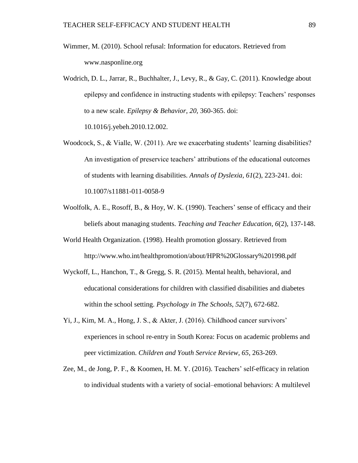- Wimmer, M. (2010). School refusal: Information for educators. Retrieved from www.nasponline.org
- Wodrich, D. L., Jarrar, R., Buchhalter, J., Levy, R., & Gay, C. (2011). Knowledge about epilepsy and confidence in instructing students with epilepsy: Teachers' responses to a new scale. *Epilepsy & Behavior*, *20,* 360-365. doi:

10.1016/j.yebeh.2010.12.002.

- Woodcock, S., & Vialle, W. (2011). Are we exacerbating students' learning disabilities? An investigation of preservice teachers' attributions of the educational outcomes of students with learning disabilities. *Annals of Dyslexia, 61*(2), 223-241. doi: 10.1007/s11881-011-0058-9
- Woolfolk, A. E., Rosoff, B., & Hoy, W. K. (1990). Teachers' sense of efficacy and their beliefs about managing students. *Teaching and Teacher Education, 6*(2), 137-148.
- World Health Organization. (1998). Health promotion glossary. Retrieved from http://www.who.int/healthpromotion/about/HPR%20Glossary%201998.pdf
- Wyckoff, L., Hanchon, T., & Gregg, S. R. (2015). Mental health, behavioral, and educational considerations for children with classified disabilities and diabetes within the school setting. *Psychology in The Schools*, *52*(7), 672-682.
- Yi, J., Kim, M. A., Hong, J. S., & Akter, J. (2016). Childhood cancer survivors' experiences in school re-entry in South Korea: Focus on academic problems and peer victimization. *Children and Youth Service Review, 65*, 263-269.
- Zee, M., de Jong, P. F., & Koomen, H. M. Y. (2016). Teachers' self-efficacy in relation to individual students with a variety of social–emotional behaviors: A multilevel